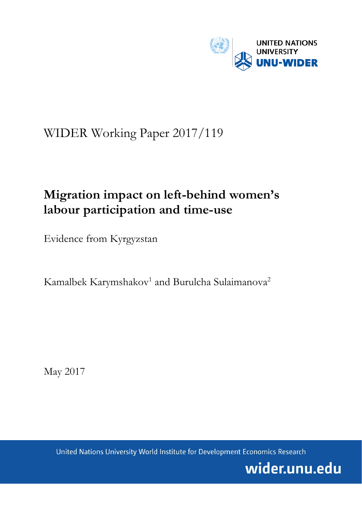

# WIDER Working Paper 2017/119

## **Migration impact on left-behind women's labour participation and time-use**

Evidence from Kyrgyzstan

Kamalbek Karymshakov<sup>1</sup> and Burulcha Sulaimanova<sup>2</sup>

May 2017

United Nations University World Institute for Development Economics Research

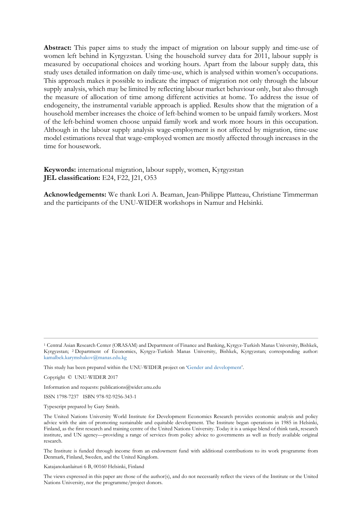**Abstract:** This paper aims to study the impact of migration on labour supply and time-use of women left behind in Kyrgyzstan. Using the household survey data for 2011, labour supply is measured by occupational choices and working hours. Apart from the labour supply data, this study uses detailed information on daily time-use, which is analysed within women's occupations. This approach makes it possible to indicate the impact of migration not only through the labour supply analysis, which may be limited by reflecting labour market behaviour only, but also through the measure of allocation of time among different activities at home. To address the issue of endogeneity, the instrumental variable approach is applied. Results show that the migration of a household member increases the choice of left-behind women to be unpaid family workers. Most of the left-behind women choose unpaid family work and work more hours in this occupation. Although in the labour supply analysis wage-employment is not affected by migration, time-use model estimations reveal that wage-employed women are mostly affected through increases in the time for housework.

**Keywords:** international migration, labour supply, women, Kyrgyzstan **JEL classification:** E24, F22, J21, O53

**Acknowledgements:** We thank Lori A. Beaman, Jean-Philippe Platteau, Christiane Timmerman and the participants of the UNU-WIDER workshops in Namur and Helsinki.

Copyright © UNU-WIDER 2017

Information and requests: publications@wider.unu.edu

ISSN 1798-7237 ISBN 978-92-9256-343-1

Typescript prepared by Gary Smith.

The Institute is funded through income from an endowment fund with additional contributions to its work programme from Denmark, Finland, Sweden, and the United Kingdom.

Katajanokanlaituri 6 B, 00160 Helsinki, Finland

The views expressed in this paper are those of the author(s), and do not necessarily reflect the views of the Institute or the United Nations University, nor the programme/project donors.

<sup>1</sup> Central Asian Research Center (ORASAM) and Department of Finance and Banking, Kyrgyz-Turkish Manas University, Bishkek, Kyrgyzstan; 2 Department of Economics, Kyrgyz-Turkish Manas University, Bishkek, Kyrgyzstan; corresponding author: kamalbek.karymshakov@manas.edu.kg

This study has been prepared within the UNU-WIDER project on ['Gender and development'.](https://www.wider.unu.edu/node/379)

The United Nations University World Institute for Development Economics Research provides economic analysis and policy advice with the aim of promoting sustainable and equitable development. The Institute began operations in 1985 in Helsinki, Finland, as the first research and training centre of the United Nations University. Today it is a unique blend of think tank, research institute, and UN agency—providing a range of services from policy advice to governments as well as freely available original research.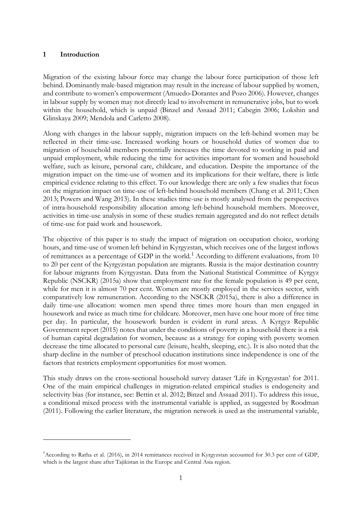## **1 Introduction**

 $\overline{a}$ 

Migration of the existing labour force may change the labour force participation of those left behind. Dominantly male-based migration may result in the increase of labour supplied by women, and contribute to women's empowerment (Amuedo-Dorantes and Pozo 2006). However, changes in labour supply by women may not directly lead to involvement in remunerative jobs, but to work within the household, which is unpaid (Binzel and Assaad 2011; Cabegin 2006; Lokshin and Glinskaya 2009; Mendola and Carletto 2008).

Along with changes in the labour supply, migration impacts on the left-behind women may be reflected in their time-use. Increased working hours or household duties of women due to migration of household members potentially increases the time devoted to working in paid and unpaid employment, while reducing the time for activities important for women and household welfare, such as leisure, personal care, childcare, and education. Despite the importance of the migration impact on the time-use of women and its implications for their welfare, there is little empirical evidence relating to this effect. To our knowledge there are only a few studies that focus on the migration impact on time-use of left-behind household members (Chang et al. 2011; Chen 2013; Powers and Wang 2013). In these studies time-use is mostly analysed from the perspectives of intra-household responsibility allocation among left-behind household members. Moreover, activities in time-use analysis in some of these studies remain aggregated and do not reflect details of time-use for paid work and housework.

The objective of this paper is to study the impact of migration on occupation choice, working hours, and time-use of women left behind in Kyrgyzstan, which receives one of the largest inflows of remittances as a percentage of GDP in the world.<sup>[1](#page-2-0)</sup> According to different evaluations, from 10 to 20 per cent of the Kyrgyzstan population are migrants. Russia is the major destination country for labour migrants from Kyrgyzstan. Data from the National Statistical Committee of Kyrgyz Republic (NSCKR) (2015a) show that employment rate for the female population is 49 per cent, while for men it is almost 70 per cent. Women are mostly employed in the services sector, with comparatively low remuneration. According to the NSCKR (2015a), there is also a difference in daily time-use allocation: women men spend three times more hours than men engaged in housework and twice as much time for childcare. Moreover, men have one hour more of free time per day. In particular, the housework burden is evident in rural areas. A Kyrgyz Republic Government report (2015) notes that under the conditions of poverty in a household there is a risk of human capital degradation for women, because as a strategy for coping with poverty women decrease the time allocated to personal care (leisure, health, sleeping, etc.). It is also noted that the sharp decline in the number of preschool education institutions since independence is one of the factors that restricts employment opportunities for most women.

This study draws on the cross-sectional household survey dataset 'Life in Kyrgyzstan' for 2011. One of the main empirical challenges in migration-related empirical studies is endogeneity and selectivity bias (for instance, see: Bettin et al. 2012; Binzel and Assaad 2011). To address this issue, a conditional mixed process with the instrumental variable is applied, as suggested by Roodman (2011). Following the earlier literature, the migration network is used as the instrumental variable,

<span id="page-2-0"></span><sup>&</sup>lt;sup>1</sup> According to Ratha et al. (2016), in 2014 remittances received in Kyrgyzstan accounted for 30.3 per cent of GDP, which is the largest share after Tajikistan in the Europe and Central Asia region.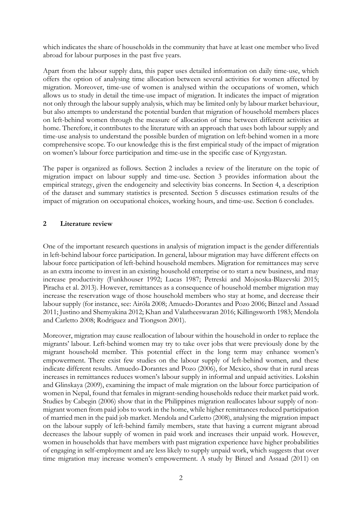which indicates the share of households in the community that have at least one member who lived abroad for labour purposes in the past five years.

Apart from the labour supply data, this paper uses detailed information on daily time-use, which offers the option of analysing time allocation between several activities for women affected by migration. Moreover, time-use of women is analysed within the occupations of women, which allows us to study in detail the time-use impact of migration. It indicates the impact of migration not only through the labour supply analysis, which may be limited only by labour market behaviour, but also attempts to understand the potential burden that migration of household members places on left-behind women through the measure of allocation of time between different activities at home. Therefore, it contributes to the literature with an approach that uses both labour supply and time-use analysis to understand the possible burden of migration on left-behind women in a more comprehensive scope. To our knowledge this is the first empirical study of the impact of migration on women's labour force participation and time-use in the specific case of Kyrgyzstan.

The paper is organized as follows. Section 2 includes a review of the literature on the topic of migration impact on labour supply and time-use. Section 3 provides information about the empirical strategy, given the endogeneity and selectivity bias concerns. In Section 4, a description of the dataset and summary statistics is presented. Section 5 discusses estimation results of the impact of migration on occupational choices, working hours, and time-use. Section 6 concludes.

## **2 Literature review**

One of the important research questions in analysis of migration impact is the gender differentials in left-behind labour force participation. In general, labour migration may have different effects on labour force participation of left-behind household members. Migration for remittances may serve as an extra income to invest in an existing household enterprise or to start a new business, and may increase productivity (Funkhouser 1992; Lucas 1987; Petreski and Mojsoska-Blazevski 2015; Piracha et al. 2013). However, remittances as a consequence of household member migration may increase the reservation wage of those household members who stay at home, and decrease their labour supply (for instance, see: Airóla 2008; Amuedo-Dorantes and Pozo 2006; Binzel and Assaad 2011; Justino and Shemyakina 2012; Khan and Valatheeswaran 2016; Killingsworth 1983; Mendola and Carletto 2008; Rodriguez and Tiongson 2001).

Moreover, migration may cause reallocation of labour within the household in order to replace the migrants' labour. Left-behind women may try to take over jobs that were previously done by the migrant household member. This potential effect in the long term may enhance women's empowerment. There exist few studies on the labour supply of left-behind women, and these indicate different results. Amuedo-Dorantes and Pozo (2006), for Mexico, show that in rural areas increases in remittances reduces women's labour supply in informal and unpaid activities. Lokshin and Glinskaya (2009), examining the impact of male migration on the labour force participation of women in Nepal, found that females in migrant-sending households reduce their market paid work. Studies by Cabegin (2006) show that in the Philippines migration reallocates labour supply of nonmigrant women from paid jobs to work in the home, while higher remittances reduced participation of married men in the paid job market. Mendola and Carletto (2008), analysing the migration impact on the labour supply of left-behind family members, state that having a current migrant abroad decreases the labour supply of women in paid work and increases their unpaid work. However, women in households that have members with past migration experience have higher probabilities of engaging in self-employment and are less likely to supply unpaid work, which suggests that over time migration may increase women's empowerment. A study by Binzel and Assaad (2011) on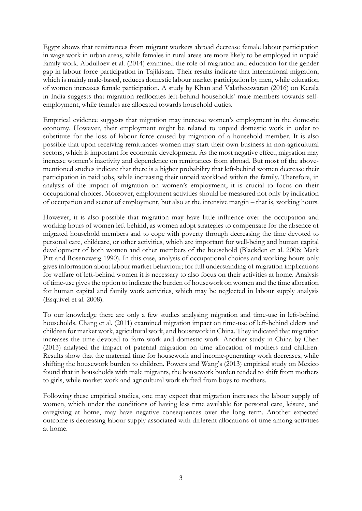Egypt shows that remittances from migrant workers abroad decrease female labour participation in wage work in urban areas, while females in rural areas are more likely to be employed in unpaid family work. Abdulloev et al. (2014) examined the role of migration and education for the gender gap in labour force participation in Tajikistan. Their results indicate that international migration, which is mainly male-based, reduces domestic labour market participation by men, while education of women increases female participation. A study by Khan and Valatheeswaran (2016) on Kerala in India suggests that migration reallocates left-behind households' male members towards selfemployment, while females are allocated towards household duties.

Empirical evidence suggests that migration may increase women's employment in the domestic economy. However, their employment might be related to unpaid domestic work in order to substitute for the loss of labour force caused by migration of a household member. It is also possible that upon receiving remittances women may start their own business in non-agricultural sectors, which is important for economic development. As the most negative effect, migration may increase women's inactivity and dependence on remittances from abroad. But most of the abovementioned studies indicate that there is a higher probability that left-behind women decrease their participation in paid jobs, while increasing their unpaid workload within the family. Therefore, in analysis of the impact of migration on women's employment, it is crucial to focus on their occupational choices. Moreover, employment activities should be measured not only by indication of occupation and sector of employment, but also at the intensive margin – that is, working hours.

However, it is also possible that migration may have little influence over the occupation and working hours of women left behind, as women adopt strategies to compensate for the absence of migrated household members and to cope with poverty through decreasing the time devoted to personal care, childcare, or other activities, which are important for well-being and human capital development of both women and other members of the household (Blackden et al. 2006; Mark Pitt and Rosenzweig 1990). In this case, analysis of occupational choices and working hours only gives information about labour market behaviour; for full understanding of migration implications for welfare of left-behind women it is necessary to also focus on their activities at home. Analysis of time-use gives the option to indicate the burden of housework on women and the time allocation for human capital and family work activities, which may be neglected in labour supply analysis (Esquivel et al. 2008).

To our knowledge there are only a few studies analysing migration and time-use in left-behind households. Chang et al. (2011) examined migration impact on time-use of left-behind elders and children for market work, agricultural work, and housework in China. They indicated that migration increases the time devoted to farm work and domestic work. Another study in China by Chen (2013) analysed the impact of paternal migration on time allocation of mothers and children. Results show that the maternal time for housework and income-generating work decreases, while shifting the housework burden to children. Powers and Wang's (2013) empirical study on Mexico found that in households with male migrants, the housework burden tended to shift from mothers to girls, while market work and agricultural work shifted from boys to mothers.

Following these empirical studies, one may expect that migration increases the labour supply of women, which under the conditions of having less time available for personal care, leisure, and caregiving at home, may have negative consequences over the long term. Another expected outcome is decreasing labour supply associated with different allocations of time among activities at home.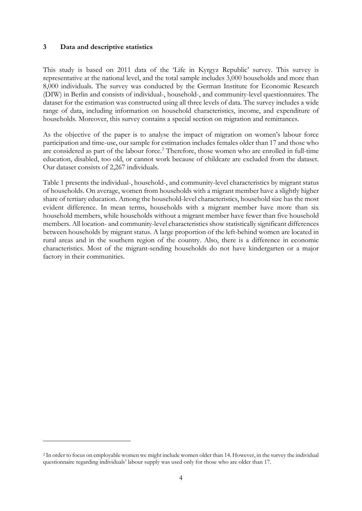## **3 Data and descriptive statistics**

 $\overline{a}$ 

This study is based on 2011 data of the 'Life in Kyrgyz Republic' survey. This survey is representative at the national level, and the total sample includes 3,000 households and more than 8,000 individuals. The survey was conducted by the German Institute for Economic Research (DIW) in Berlin and consists of individual-, household-, and community-level questionnaires. The dataset for the estimation was constructed using all three levels of data. The survey includes a wide range of data, including information on household characteristics, income, and expenditure of households. Moreover, this survey contains a special section on migration and remittances.

As the objective of the paper is to analyse the impact of migration on women's labour force participation and time-use, our sample for estimation includes females older than 17 and those who are considered as part of the labour force.<sup>[2](#page-5-0)</sup> Therefore, those women who are enrolled in full-time education, disabled, too old, or cannot work because of childcare are excluded from the dataset. Our dataset consists of 2,267 individuals.

Table 1 presents the individual-, household-, and community-level characteristics by migrant status of households. On average, women from households with a migrant member have a slightly higher share of tertiary education. Among the household-level characteristics, household size has the most evident difference. In mean terms, households with a migrant member have more than six household members, while households without a migrant member have fewer than five household members. All location- and community-level characteristics show statistically significant differences between households by migrant status. A large proportion of the left-behind women are located in rural areas and in the southern region of the country. Also, there is a difference in economic characteristics. Most of the migrant-sending households do not have kindergarten or a major factory in their communities.

<span id="page-5-0"></span><sup>2</sup> In order to focus on employable women we might include women older than 14. However, in the survey the individual questionnaire regarding individuals' labour supply was used only for those who are older than 17.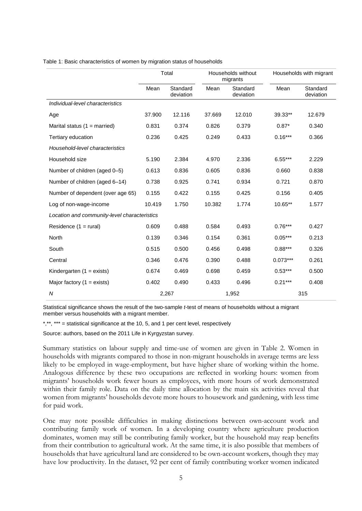|                                              | Total  |                       |        | Households without<br>migrants |            | Households with migrant |  |
|----------------------------------------------|--------|-----------------------|--------|--------------------------------|------------|-------------------------|--|
|                                              | Mean   | Standard<br>deviation | Mean   | Standard<br>deviation          | Mean       | Standard<br>deviation   |  |
| Individual-level characteristics             |        |                       |        |                                |            |                         |  |
| Age                                          | 37.900 | 12.116                | 37.669 | 12.010                         | 39.33**    | 12.679                  |  |
| Marital status $(1 =$ married)               | 0.831  | 0.374                 | 0.826  | 0.379                          | $0.87*$    | 0.340                   |  |
| Tertiary education                           | 0.236  | 0.425                 | 0.249  | 0.433                          | $0.16***$  | 0.366                   |  |
| Household-level characteristics              |        |                       |        |                                |            |                         |  |
| Household size                               | 5.190  | 2.384                 | 4.970  | 2.336                          | $6.55***$  | 2.229                   |  |
| Number of children (aged 0-5)                | 0.613  | 0.836                 | 0.605  | 0.836                          | 0.660      | 0.838                   |  |
| Number of children (aged 6-14)               | 0.738  | 0.925                 | 0.741  | 0.934                          | 0.721      | 0.870                   |  |
| Number of dependent (over age 65)            | 0.155  | 0.422                 | 0.155  | 0.425                          | 0.156      | 0.405                   |  |
| Log of non-wage-income                       | 10.419 | 1.750                 | 10.382 | 1.774                          | 10.65**    | 1.577                   |  |
| Location and community-level characteristics |        |                       |        |                                |            |                         |  |
| Residence $(1 = \text{rural})$               | 0.609  | 0.488                 | 0.584  | 0.493                          | $0.76***$  | 0.427                   |  |
| North                                        | 0.139  | 0.346                 | 0.154  | 0.361                          | $0.05***$  | 0.213                   |  |
| South                                        | 0.515  | 0.500                 | 0.456  | 0.498                          | $0.88***$  | 0.326                   |  |
| Central                                      | 0.346  | 0.476                 | 0.390  | 0.488                          | $0.073***$ | 0.261                   |  |
| Kindergarten $(1 = exists)$                  | 0.674  | 0.469                 | 0.698  | 0.459                          | $0.53***$  | 0.500                   |  |
| Major factory $(1 = \text{exists})$          | 0.402  | 0.490                 | 0.433  | 0.496                          | $0.21***$  | 0.408                   |  |
| $\overline{N}$                               |        | 2,267                 |        | 1,952                          | 315        |                         |  |

Table 1: Basic characteristics of women by migration status of households

Statistical significance shows the result of the two-sample *t*-test of means of households without a migrant member versus households with a migrant member.

\*,\*\*, \*\*\* = statistical significance at the 10, 5, and 1 per cent level, respectively

Source: authors, based on the 2011 Life in Kyrgyzstan survey.

Summary statistics on labour supply and time-use of women are given in Table 2. Women in households with migrants compared to those in non-migrant households in average terms are less likely to be employed in wage-employment, but have higher share of working within the home. Analogous difference by these two occupations are reflected in working hours: women from migrants' households work fewer hours as employees, with more hours of work demonstrated within their family role. Data on the daily time allocation by the main six activities reveal that women from migrants' households devote more hours to housework and gardening, with less time for paid work.

One may note possible difficulties in making distinctions between own-account work and contributing family work of women. In a developing country where agriculture production dominates, women may still be contributing family worker, but the household may reap benefits from their contribution to agricultural work. At the same time, it is also possible that members of households that have agricultural land are considered to be own-account workers, though they may have low productivity. In the dataset, 92 per cent of family contributing worker women indicated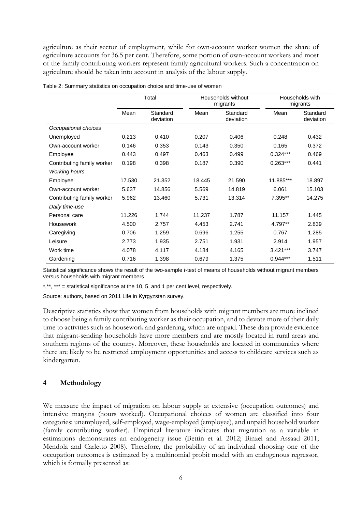agriculture as their sector of employment, while for own-account worker women the share of agriculture accounts for 36.5 per cent. Therefore, some portion of own-account workers and most of the family contributing workers represent family agricultural workers. Such a concentration on agriculture should be taken into account in analysis of the labour supply.

|                            | Total  |                       |        | Households without<br>migrants |            | Households with<br>migrants |
|----------------------------|--------|-----------------------|--------|--------------------------------|------------|-----------------------------|
|                            | Mean   | Standard<br>deviation | Mean   | Standard<br>deviation          | Mean       | Standard<br>deviation       |
| Occupational choices       |        |                       |        |                                |            |                             |
| Unemployed                 | 0.213  | 0.410                 | 0.207  | 0.406                          | 0.248      | 0.432                       |
| Own-account worker         | 0.146  | 0.353                 | 0.143  | 0.350                          | 0.165      | 0.372                       |
| Employee                   | 0.443  | 0.497                 | 0.463  | 0.499                          | $0.324***$ | 0.469                       |
| Contributing family worker | 0.198  | 0.398                 | 0.187  | 0.390                          | $0.263***$ | 0.441                       |
| <b>Working hours</b>       |        |                       |        |                                |            |                             |
| Employee                   | 17.530 | 21.352                | 18.445 | 21.590                         | 11.885***  | 18.897                      |
| Own-account worker         | 5.637  | 14.856                | 5.569  | 14.819                         | 6.061      | 15.103                      |
| Contributing family worker | 5.962  | 13.460                | 5.731  | 13.314                         | 7.395**    | 14.275                      |
| Daily time-use             |        |                       |        |                                |            |                             |
| Personal care              | 11.226 | 1.744                 | 11.237 | 1.787                          | 11.157     | 1.445                       |
| Housework                  | 4.500  | 2.757                 | 4.453  | 2.741                          | 4.797**    | 2.839                       |
| Caregiving                 | 0.706  | 1.259                 | 0.696  | 1.255                          | 0.767      | 1.285                       |
| Leisure                    | 2.773  | 1.935                 | 2.751  | 1.931                          | 2.914      | 1.957                       |
| Work time                  | 4.078  | 4.117                 | 4.184  | 4.165                          | $3.421***$ | 3.747                       |
| Gardening                  | 0.716  | 1.398                 | 0.679  | 1.375                          | $0.944***$ | 1.511                       |

Table 2: Summary statistics on occupation choice and time-use of women

Statistical significance shows the result of the two-sample *t*-test of means of households without migrant members versus households with migrant members.

\*,\*\*, \*\*\* = statistical significance at the 10, 5, and 1 per cent level, respectively.

Source: authors, based on 2011 Life in Kyrgyzstan survey.

Descriptive statistics show that women from households with migrant members are more inclined to choose being a family contributing worker as their occupation, and to devote more of their daily time to activities such as housework and gardening, which are unpaid. These data provide evidence that migrant-sending households have more members and are mostly located in rural areas and southern regions of the country. Moreover, these households are located in communities where there are likely to be restricted employment opportunities and access to childcare services such as kindergarten.

### **4 Methodology**

We measure the impact of migration on labour supply at extensive (occupation outcomes) and intensive margins (hours worked). Occupational choices of women are classified into four categories: unemployed, self-employed, wage-employed (employee), and unpaid household worker (family contributing worker). Empirical literature indicates that migration as a variable in estimations demonstrates an endogeneity issue (Bettin et al. 2012; Binzel and Assaad 2011; Mendola and Carletto 2008). Therefore, the probability of an individual choosing one of the occupation outcomes is estimated by a multinomial probit model with an endogenous regressor, which is formally presented as: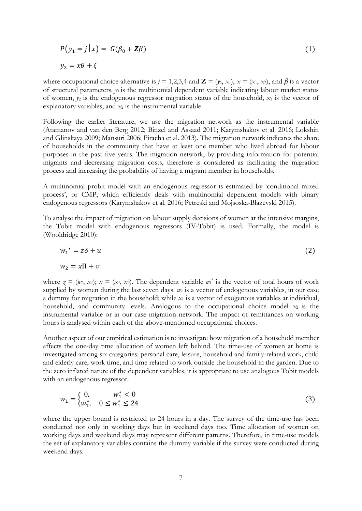$$
P(y_1 = j | x) = G(\beta_0 + \mathbf{Z}\beta)
$$
  
\n
$$
y_2 = x\theta + \xi
$$
\n(1)

where occupational choice alternative is  $j = 1,2,3,4$  and  $\mathbf{Z} = (y_2, x_1), x = (x_1, x_2),$  and  $\beta$  is a vector of structural parameters.  $y_1$  is the multinomial dependent variable indicating labour market status of women,  $y_2$  is the endogenous regressor migration status of the household,  $x_1$  is the vector of explanatory variables, and  $x_2$  is the instrumental variable.

Following the earlier literature, we use the migration network as the instrumental variable (Atamanov and van den Berg 2012; Binzel and Assaad 2011; Karymshakov et al. 2016; Lokshin and Glinskaya 2009; Mansuri 2006; Piracha et al. 2013). The migration network indicates the share of households in the community that have at least one member who lived abroad for labour purposes in the past five years. The migration network, by providing information for potential migrants and decreasing migration costs, therefore is considered as facilitating the migration process and increasing the probability of having a migrant member in households.

A multinomial probit model with an endogenous regressor is estimated by 'conditional mixed process', or CMP, which efficiently deals with multinomial dependent models with binary endogenous regressors (Karymshakov et al. 2016; Petreski and Mojsoska-Blazevski 2015).

To analyse the impact of migration on labour supply decisions of women at the intensive margins, the Tobit model with endogenous regressors (IV-Tobit) is used. Formally, the model is (Wooldridge 2010):

$$
w_1^* = z\delta + u \tag{2}
$$

$$
w_2 = x\Pi + v \tag{2}
$$

where  $\zeta = (w_2, x_1); x = (x_1, x_2)$ . The dependent variable  $w_1^*$  is the vector of total hours of work supplied by women during the last seven days.  $w_2$  is a vector of endogenous variables, in our case a dummy for migration in the household; while  $x_1$  is a vector of exogenous variables at individual, household, and community levels. Analogous to the occupational choice model  $x_2$  is the instrumental variable or in our case migration network. The impact of remittances on working hours is analysed within each of the above-mentioned occupational choices.

Another aspect of our empirical estimation is to investigate how migration of a household member affects the one-day time allocation of women left behind. The time-use of women at home is investigated among six categories: personal care, leisure, household and family-related work, child and elderly care, work time, and time related to work outside the household in the garden. Due to the zero inflated nature of the dependent variables, it is appropriate to use analogous Tobit models with an endogenous regressor.

$$
w_1 = \begin{cases} 0, & w_1^* < 0 \\ w_1^*, & 0 \le w_1^* \le 24 \end{cases} \tag{3}
$$

where the upper bound is restricted to 24 hours in a day. The survey of the time-use has been conducted not only in working days but in weekend days too. Time allocation of women on working days and weekend days may represent different patterns. Therefore, in time-use models the set of explanatory variables contains the dummy variable if the survey were conducted during weekend days.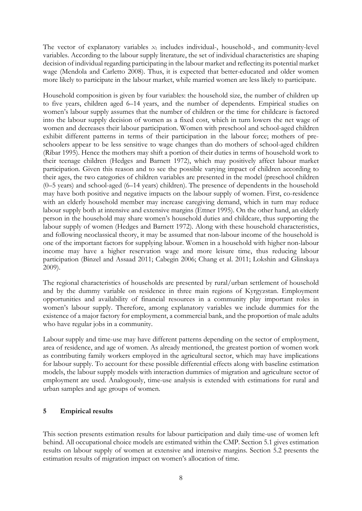The vector of explanatory variables  $x_1$  includes individual-, household-, and community-level variables. According to the labour supply literature, the set of individual characteristics are shaping decision of individual regarding participating in the labour market and reflecting its potential market wage (Mendola and Carletto 2008). Thus, it is expected that better-educated and older women more likely to participate in the labour market, while married women are less likely to participate.

Household composition is given by four variables: the household size, the number of children up to five years, children aged 6–14 years, and the number of dependents. Empirical studies on women's labour supply assumes that the number of children or the time for childcare is factored into the labour supply decision of women as a fixed cost, which in turn lowers the net wage of women and decreases their labour participation. Women with preschool and school-aged children exhibit different patterns in terms of their participation in the labour force; mothers of preschoolers appear to be less sensitive to wage changes than do mothers of school-aged children (Ribar 1995). Hence the mothers may shift a portion of their duties in terms of household work to their teenage children (Hedges and Barnett 1972), which may positively affect labour market participation. Given this reason and to see the possible varying impact of children according to their ages, the two categories of children variables are presented in the model (preschool children (0–5 years) and school-aged (6–14 years) children). The presence of dependents in the household may have both positive and negative impacts on the labour supply of women. First, co-residence with an elderly household member may increase caregiving demand, which in turn may reduce labour supply both at intensive and extensive margins (Ettner 1995). On the other hand, an elderly person in the household may share women's household duties and childcare, thus supporting the labour supply of women (Hedges and Barnett 1972). Along with these household characteristics, and following neoclassical theory, it may be assumed that non-labour income of the household is one of the important factors for supplying labour. Women in a household with higher non-labour income may have a higher reservation wage and more leisure time, thus reducing labour participation (Binzel and Assaad 2011; Cabegin 2006; Chang et al. 2011; Lokshin and Glinskaya 2009).

The regional characteristics of households are presented by rural/urban settlement of household and by the dummy variable on residence in three main regions of Kyrgyzstan. Employment opportunities and availability of financial resources in a community play important roles in women's labour supply. Therefore, among explanatory variables we include dummies for the existence of a major factory for employment, a commercial bank, and the proportion of male adults who have regular jobs in a community.

Labour supply and time-use may have different patterns depending on the sector of employment, area of residence, and age of women. As already mentioned, the greatest portion of women work as contributing family workers employed in the agricultural sector, which may have implications for labour supply. To account for these possible differential effects along with baseline estimation models, the labour supply models with interaction dummies of migration and agriculture sector of employment are used. Analogously, time-use analysis is extended with estimations for rural and urban samples and age groups of women.

## **5 Empirical results**

This section presents estimation results for labour participation and daily time-use of women left behind. All occupational choice models are estimated within the CMP. Section 5.1 gives estimation results on labour supply of women at extensive and intensive margins. Section 5.2 presents the estimation results of migration impact on women's allocation of time.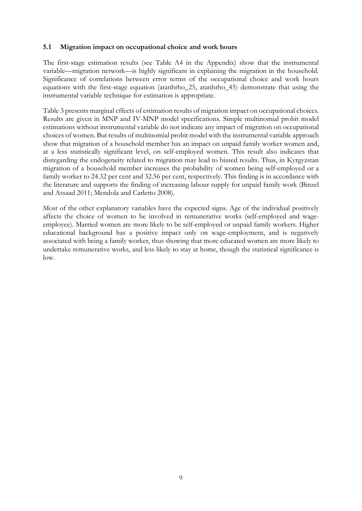## **5.1 Migration impact on occupational choice and work hours**

The first-stage estimation results (see Table A4 in the Appendix) show that the instrumental variable—migration network—is highly significant in explaining the migration in the household. Significance of correlations between error terms of the occupational choice and work hours equations with the first-stage equation (atanhrho\_25, atanhrho\_45) demonstrate that using the instrumental variable technique for estimation is appropriate.

Table 3 presents marginal effects of estimation results of migration impact on occupational choices. Results are given in MNP and IV-MNP model specifications. Simple multinomial probit model estimations without instrumental variable do not indicate any impact of migration on occupational choices of women. But results of multinomial probit model with the instrumental variable approach show that migration of a household member has an impact on unpaid family worker women and, at a less statistically significant level, on self-employed women. This result also indicates that disregarding the endogeneity related to migration may lead to biased results. Thus, in Kyrgyzstan migration of a household member increases the probability of women being self-employed or a family worker to 24.32 per cent and 32.56 per cent, respectively. This finding is in accordance with the literature and supports the finding of increasing labour supply for unpaid family work (Binzel and Assaad 2011; Mendola and Carletto 2008).

Most of the other explanatory variables have the expected signs. Age of the individual positively affects the choice of women to be involved in remunerative works (self-employed and wageemployee). Married women are more likely to be self-employed or unpaid family workers. Higher educational background has a positive impact only on wage-employment, and is negatively associated with being a family worker, thus showing that more educated women are more likely to undertake remunerative works, and less likely to stay at home, though the statistical significance is low.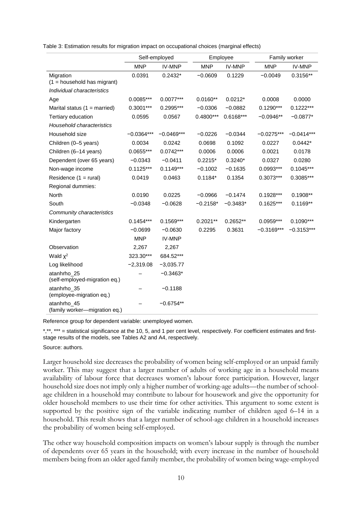| Table 3: Estimation results for migration impact on occupational choices (marginal effects) |  |  |  |  |  |
|---------------------------------------------------------------------------------------------|--|--|--|--|--|
|---------------------------------------------------------------------------------------------|--|--|--|--|--|

|                                              | Self-employed |               |             | Employee    |              | Family worker |  |
|----------------------------------------------|---------------|---------------|-------------|-------------|--------------|---------------|--|
|                                              | <b>MNP</b>    | <b>IV-MNP</b> | <b>MNP</b>  | IV-MNP      | <b>MNP</b>   | IV-MNP        |  |
| Migration<br>$(1 =$ household has migrant)   | 0.0391        | $0.2432*$     | $-0.0609$   | 0.1229      | $-0.0049$    | $0.3156**$    |  |
| Individual characteristics                   |               |               |             |             |              |               |  |
| Age                                          | $0.0085***$   | $0.0077***$   | $0.0160**$  | $0.0212*$   | 0.0008       | 0.0000        |  |
| Marital status $(1 = married)$               | 0.3001***     | 0.2995***     | $-0.0306$   | $-0.0882$   | $0.1290***$  | $0.1222***$   |  |
| Tertiary education                           | 0.0595        | 0.0567        | $0.4800***$ | $0.6168***$ | $-0.0946**$  | $-0.0877*$    |  |
| Household characteristics                    |               |               |             |             |              |               |  |
| Household size                               | $-0.0364***$  | $-0.0469***$  | $-0.0226$   | $-0.0344$   | $-0.0275***$ | $-0.0414***$  |  |
| Children (0-5 years)                         | 0.0034        | 0.0242        | 0.0698      | 0.1092      | 0.0227       | $0.0442*$     |  |
| Children (6-14 years)                        | 0.0655***     | $0.0742***$   | 0.0006      | 0.0006      | 0.0021       | 0.0178        |  |
| Dependent (over 65 years)                    | $-0.0343$     | $-0.0411$     | $0.2215*$   | $0.3240*$   | 0.0327       | 0.0280        |  |
| Non-wage income                              | $0.1125***$   | $0.1149***$   | $-0.1002$   | $-0.1635$   | $0.0993***$  | $0.1045***$   |  |
| Residence $(1 = \text{rural})$               | 0.0419        | 0.0463        | $0.1184*$   | 0.1354      | 0.3073***    | 0.3085***     |  |
| Regional dummies:                            |               |               |             |             |              |               |  |
| North                                        | 0.0190        | 0.0225        | $-0.0966$   | $-0.1474$   | $0.1928***$  | $0.1908**$    |  |
| South                                        | $-0.0348$     | $-0.0628$     | $-0.2158*$  | $-0.3483*$  | $0.1625***$  | $0.1169**$    |  |
| Community characteristics                    |               |               |             |             |              |               |  |
| Kindergarten                                 | $0.1454***$   | $0.1569***$   | $0.2021**$  | $0.2652**$  | 0.0959***    | $0.1090***$   |  |
| Major factory                                | $-0.0699$     | $-0.0630$     | 0.2295      | 0.3631      | $-0.3169***$ | $-0.3153***$  |  |
|                                              | <b>MNP</b>    | <b>IV-MNP</b> |             |             |              |               |  |
| Observation                                  | 2,267         | 2,267         |             |             |              |               |  |
| Wald $\chi^2$                                | 323.30***     | 684.52***     |             |             |              |               |  |
| Log likelihood                               | $-2,319.08$   | $-3,035.77$   |             |             |              |               |  |
| atanhrho_25<br>(self-employed-migration eq.) |               | $-0.3463*$    |             |             |              |               |  |
| atanhrho_35<br>(employee-migration eq.)      |               | $-0.1188$     |             |             |              |               |  |
| atanhrho_45<br>(family worker-migration eq.) |               | $-0.6754**$   |             |             |              |               |  |

Reference group for dependent variable: unemployed women.

\*,\*\*, \*\*\* = statistical significance at the 10, 5, and 1 per cent level, respectively. For coefficient estimates and firststage results of the models, see Tables A2 and A4, respectively.

#### Source: authors.

Larger household size decreases the probability of women being self-employed or an unpaid family worker. This may suggest that a larger number of adults of working age in a household means availability of labour force that decreases women's labour force participation. However, larger household size does not imply only a higher number of working-age adults—the number of schoolage children in a household may contribute to labour for housework and give the opportunity for older household members to use their time for other activities. This argument to some extent is supported by the positive sign of the variable indicating number of children aged 6–14 in a household. This result shows that a larger number of school-age children in a household increases the probability of women being self-employed.

The other way household composition impacts on women's labour supply is through the number of dependents over 65 years in the household; with every increase in the number of household members being from an older aged family member, the probability of women being wage-employed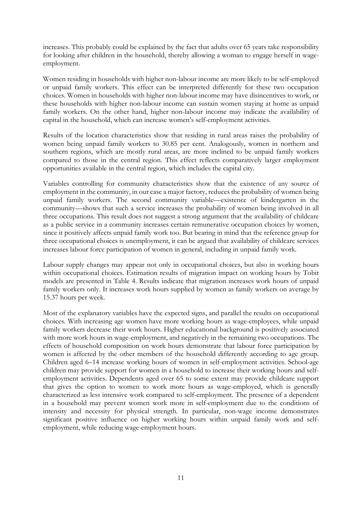increases. This probably could be explained by the fact that adults over 65 years take responsibility for looking after children in the household, thereby allowing a woman to engage herself in wageemployment.

Women residing in households with higher non-labour income are more likely to be self-employed or unpaid family workers. This effect can be interpreted differently for these two occupation choices. Women in households with higher non-labour income may have disincentives to work, or these households with higher non-labour income can sustain women staying at home as unpaid family workers. On the other hand, higher non-labour income may indicate the availability of capital in the household, which can increase women's self-employment activities.

Results of the location characteristics show that residing in rural areas raises the probability of women being unpaid family workers to 30.85 per cent. Analogously, women in northern and southern regions, which are mostly rural areas, are more inclined to be unpaid family workers compared to those in the central region. This effect reflects comparatively larger employment opportunities available in the central region, which includes the capital city.

Variables controlling for community characteristics show that the existence of any source of employment in the community, in our case a major factory, reduces the probability of women being unpaid family workers. The second community variable—existence of kindergarten in the community—shows that such a service increases the probability of women being involved in all three occupations. This result does not suggest a strong argument that the availability of childcare as a public service in a community increases certain remunerative occupation choices by women, since it positively affects unpaid family work too. But bearing in mind that the reference group for three occupational choices is unemployment, it can be argued that availability of childcare services increases labour force participation of women in general, including in unpaid family work.

Labour supply changes may appear not only in occupational choices, but also in working hours within occupational choices. Estimation results of migration impact on working hours by Tobit models are presented in Table 4. Results indicate that migration increases work hours of unpaid family workers only. It increases work hours supplied by women as family workers on average by 15.37 hours per week.

Most of the explanatory variables have the expected signs, and parallel the results on occupational choices. With increasing age women have more working hours as wage-employees, while unpaid family workers decrease their work hours. Higher educational background is positively associated with more work hours in wage-employment, and negatively in the remaining two occupations. The effects of household composition on work hours demonstrate that labour force participation by women is affected by the other members of the household differently according to age group. Children aged 6–14 increase working hours of women in self-employment activities. School-age children may provide support for women in a household to increase their working hours and selfemployment activities. Dependents aged over 65 to some extent may provide childcare support that gives the option to women to work more hours as wage-employed, which is generally characterized as less intensive work compared to self-employment. The presence of a dependent in a household may prevent women work more in self-employment due to the conditions of intensity and necessity for physical strength. In particular, non-wage income demonstrates significant positive influence on higher working hours within unpaid family work and selfemployment, while reducing wage-employment hours.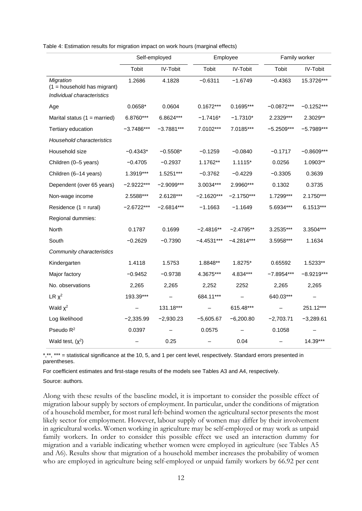|                                                                          | Self-employed |              |              | Employee        |              | Family worker |  |
|--------------------------------------------------------------------------|---------------|--------------|--------------|-----------------|--------------|---------------|--|
|                                                                          | <b>Tobit</b>  | IV-Tobit     | Tobit        | <b>IV-Tobit</b> | Tobit        | IV-Tobit      |  |
| Migration<br>$(1 =$ household has migrant)<br>Individual characteristics | 1.2686        | 4.1828       | $-0.6311$    | $-1.6749$       | $-0.4363$    | 15.3726***    |  |
| Age                                                                      | $0.0658*$     | 0.0604       | $0.1672***$  | 0.1695***       | $-0.0872***$ | $-0.1252***$  |  |
| Marital status $(1 = married)$                                           | 6.8760***     | 6.8624***    | $-1.7416*$   | $-1.7310*$      | 2.2329***    | 2.3029**      |  |
| Tertiary education                                                       | $-3.7486***$  | $-3.7881***$ | 7.0102***    | 7.0185***       | $-5.2509***$ | $-5.7989***$  |  |
| <b>Household characteristics</b>                                         |               |              |              |                 |              |               |  |
| Household size                                                           | $-0.4343*$    | $-0.5508*$   | $-0.1259$    | $-0.0840$       | $-0.1717$    | $-0.8609***$  |  |
| Children (0-5 years)                                                     | $-0.4705$     | $-0.2937$    | 1.1762**     | $1.1115*$       | 0.0256       | 1.0903**      |  |
| Children (6-14 years)                                                    | 1.3919***     | 1.5251***    | $-0.3762$    | $-0.4229$       | $-0.3305$    | 0.3639        |  |
| Dependent (over 65 years)                                                | $-2.9222***$  | $-2.9099***$ | 3.0034***    | 2.9960***       | 0.1302       | 0.3735        |  |
| Non-wage income                                                          | 2.5588***     | 2.6128***    | $-2.1620***$ | $-2.1750***$    | 1.7299***    | 2.1750***     |  |
| Residence $(1 = \text{rural})$                                           | $-2.6722***$  | $-2.6814***$ | $-1.1663$    | $-1.1649$       | 5.6934***    | 6.1513***     |  |
| Regional dummies:                                                        |               |              |              |                 |              |               |  |
| North                                                                    | 0.1787        | 0.1699       | -2.4816**    | $-2.4795**$     | 3.2535***    | 3.3504***     |  |
| South                                                                    | $-0.2629$     | $-0.7390$    | $-4.4531***$ | $-4.2814***$    | 3.5958***    | 1.1634        |  |
| Community characteristics                                                |               |              |              |                 |              |               |  |
| Kindergarten                                                             | 1.4118        | 1.5753       | 1.8848**     | 1.8275*         | 0.65592      | 1.5233**      |  |
| Major factory                                                            | $-0.9452$     | $-0.9738$    | 4.3675***    | 4.834***        | $-7.8954***$ | $-8.9219***$  |  |
| No. observations                                                         | 2,265         | 2,265        | 2,252        | 2252            | 2,265        | 2,265         |  |
| $LR \chi^2$                                                              | 193.39***     |              | 684.11***    |                 | 640.03***    |               |  |
| Wald $\chi^2$                                                            |               | 131.18***    |              | 615.48***       |              | 251.12***     |  |
| Log likelihood                                                           | $-2,335.99$   | $-2,930.23$  | $-5,605.67$  | $-6,200.80$     | $-2,703.71$  | $-3,289.61$   |  |
| Pseudo $R^2$                                                             | 0.0397        |              | 0.0575       |                 | 0.1058       |               |  |
| Wald test, $(x^2)$                                                       |               | 0.25         |              | 0.04            |              | 14.39***      |  |

Table 4: Estimation results for migration impact on work hours (marginal effects)

\*,\*\*, \*\*\* = statistical significance at the 10, 5, and 1 per cent level, respectively. Standard errors presented in parentheses.

For coefficient estimates and first-stage results of the models see Tables A3 and A4, respectively.

Source: authors.

Along with these results of the baseline model, it is important to consider the possible effect of migration labour supply by sectors of employment. In particular, under the conditions of migration of a household member, for most rural left-behind women the agricultural sector presents the most likely sector for employment. However, labour supply of women may differ by their involvement in agricultural works. Women working in agriculture may be self-employed or may work as unpaid family workers. In order to consider this possible effect we used an interaction dummy for migration and a variable indicating whether women were employed in agriculture (see Tables A5 and A6). Results show that migration of a household member increases the probability of women who are employed in agriculture being self-employed or unpaid family workers by 66.92 per cent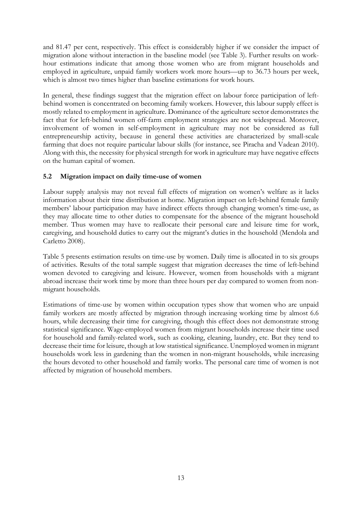and 81.47 per cent, respectively. This effect is considerably higher if we consider the impact of migration alone without interaction in the baseline model (see Table 3). Further results on workhour estimations indicate that among those women who are from migrant households and employed in agriculture, unpaid family workers work more hours—up to 36.73 hours per week, which is almost two times higher than baseline estimations for work hours.

In general, these findings suggest that the migration effect on labour force participation of leftbehind women is concentrated on becoming family workers. However, this labour supply effect is mostly related to employment in agriculture. Dominance of the agriculture sector demonstrates the fact that for left-behind women off-farm employment strategies are not widespread. Moreover, involvement of women in self-employment in agriculture may not be considered as full entrepreneurship activity, because in general these activities are characterized by small-scale farming that does not require particular labour skills (for instance, see Piracha and Vadean 2010). Along with this, the necessity for physical strength for work in agriculture may have negative effects on the human capital of women.

## **5.2 Migration impact on daily time-use of women**

Labour supply analysis may not reveal full effects of migration on women's welfare as it lacks information about their time distribution at home. Migration impact on left-behind female family members' labour participation may have indirect effects through changing women's time-use, as they may allocate time to other duties to compensate for the absence of the migrant household member. Thus women may have to reallocate their personal care and leisure time for work, caregiving, and household duties to carry out the migrant's duties in the household (Mendola and Carletto 2008).

Table 5 presents estimation results on time-use by women. Daily time is allocated in to six groups of activities. Results of the total sample suggest that migration decreases the time of left-behind women devoted to caregiving and leisure. However, women from households with a migrant abroad increase their work time by more than three hours per day compared to women from nonmigrant households.

Estimations of time-use by women within occupation types show that women who are unpaid family workers are mostly affected by migration through increasing working time by almost 6.6 hours, while decreasing their time for caregiving, though this effect does not demonstrate strong statistical significance. Wage-employed women from migrant households increase their time used for household and family-related work, such as cooking, cleaning, laundry, etc. But they tend to decrease their time for leisure, though at low statistical significance. Unemployed women in migrant households work less in gardening than the women in non-migrant households, while increasing the hours devoted to other household and family works. The personal care time of women is not affected by migration of household members.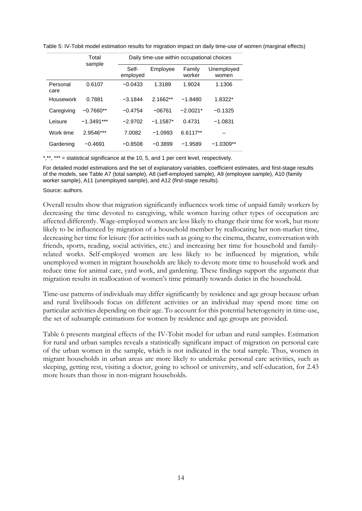|                  | Total<br>sample |                   | Daily time-use within occupational choices |                  |                     |  |  |  |
|------------------|-----------------|-------------------|--------------------------------------------|------------------|---------------------|--|--|--|
|                  |                 | Self-<br>employed | Employee                                   | Family<br>worker | Unemployed<br>women |  |  |  |
| Personal<br>care | 0.6107          | $-0.0433$         | 1.3189                                     | 1.9024           | 1.1306              |  |  |  |
| Housework        | 0.7881          | $-3.1844$         | $2.1662**$                                 | $-1.8480$        | 1.8322*             |  |  |  |
| Caregiving       | $-0.7660**$     | $-0.4754$         | $-06761$                                   | $-2.0021*$       | $-0.1325$           |  |  |  |
| Leisure          | $-1.3491***$    | $-2.9702$         | $-1.1587*$                                 | 0.4731           | $-1.0831$           |  |  |  |
| Work time        | 2.9546***       | 7.0082            | $-1.0993$                                  | 6.6117**         |                     |  |  |  |
| Gardening        | $-0.4691$       | $-0.8508$         | $-0.3899$                                  | $-1.9589$        | $-1.0309**$         |  |  |  |

Table 5: IV-Tobit model estimation results for migration impact on daily time-use of women (marginal effects)

\*,\*\*, \*\*\* = statistical significance at the 10, 5, and 1 per cent level, respectively.

For detailed model estimations and the set of explanatory variables, coefficient estimates, and first-stage results of the models, see Table A7 (total sample), A8 (self-employed sample), A9 (employee sample), A10 (family worker sample), A11 (unemployed sample), and A12 (first-stage results).

#### Source: authors.

Overall results show that migration significantly influences work time of unpaid family workers by decreasing the time devoted to caregiving, while women having other types of occupation are affected differently. Wage-employed women are less likely to change their time for work, but more likely to be influenced by migration of a household member by reallocating her non-market time, decreasing her time for leisure (for activities such as going to the cinema, theatre, conversation with friends, sports, reading, social activities, etc.) and increasing her time for household and familyrelated works. Self-employed women are less likely to be influenced by migration, while unemployed women in migrant households are likely to devote more time to household work and reduce time for animal care, yard work, and gardening. These findings support the argument that migration results in reallocation of women's time primarily towards duties in the household.

Time-use patterns of individuals may differ significantly by residence and age group because urban and rural livelihoods focus on different activities or an individual may spend more time on particular activities depending on their age. To account for this potential heterogeneity in time-use, the set of subsample estimations for women by residence and age groups are provided.

Table 6 presents marginal effects of the IV-Tobit model for urban and rural samples. Estimation for rural and urban samples reveals a statistically significant impact of migration on personal care of the urban women in the sample, which is not indicated in the total sample. Thus, women in migrant households in urban areas are more likely to undertake personal care activities, such as sleeping, getting rest, visiting a doctor, going to school or university, and self-education, for 2.43 more hours than those in non-migrant households.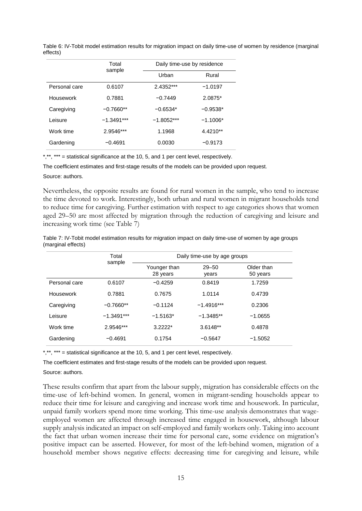|               | Total<br>sample | Daily time-use by residence |            |  |  |
|---------------|-----------------|-----------------------------|------------|--|--|
|               |                 |                             | Rural      |  |  |
| Personal care | 0.6107          | 2.4352***                   | $-1.0197$  |  |  |
| Housework     | 0.7881          | $-0.7449$                   | 2.0875*    |  |  |
| Caregiving    | $-0.7660**$     | $-0.6534*$                  | $-0.9538*$ |  |  |
| Leisure       | $-1.3491***$    | $-1.8052***$                | $-1.1006*$ |  |  |
| Work time     | 2.9546***       | 1.1968                      | 4.4210**   |  |  |
| Gardening     | $-0.4691$       | 0.0030                      | $-0.9173$  |  |  |

Table 6: IV-Tobit model estimation results for migration impact on daily time-use of women by residence (marginal effects)

\*,\*\*, \*\*\* = statistical significance at the 10, 5, and 1 per cent level, respectively.

The coefficient estimates and first-stage results of the models can be provided upon request.

Source: authors.

Nevertheless, the opposite results are found for rural women in the sample, who tend to increase the time devoted to work. Interestingly, both urban and rural women in migrant households tend to reduce time for caregiving. Further estimation with respect to age categories shows that women aged 29–50 are most affected by migration through the reduction of caregiving and leisure and increasing work time (see Table 7)

| Table 7: IV-Tobit model estimation results for migration impact on daily time-use of women by age groups |  |  |
|----------------------------------------------------------------------------------------------------------|--|--|
| (marginal effects)                                                                                       |  |  |

|               | Total        | Daily time-use by age groups |                    |                        |  |  |
|---------------|--------------|------------------------------|--------------------|------------------------|--|--|
|               | sample       | Younger than<br>28 years     | $29 - 50$<br>years | Older than<br>50 years |  |  |
| Personal care | 0.6107       | $-0.4259$                    | 0.8419             | 1.7259                 |  |  |
| Housework     | 0.7881       | 0.7675                       | 1.0114             | 0.4739                 |  |  |
| Caregiving    | $-0.7660**$  | $-0.1124$                    | $-1.4916***$       | 0.2306                 |  |  |
| Leisure       | $-1.3491***$ | $-1.5163*$                   | $-1.3485**$        | $-1.0655$              |  |  |
| Work time     | 2.9546***    | $3.2222*$                    | $3.6148**$         | 0.4878                 |  |  |
| Gardening     | $-0.4691$    | 0.1754                       | $-0.5647$          | $-1.5052$              |  |  |

\*,\*\*, \*\*\* = statistical significance at the 10, 5, and 1 per cent level, respectively.

The coefficient estimates and first-stage results of the models can be provided upon request. Source: authors.

These results confirm that apart from the labour supply, migration has considerable effects on the time-use of left-behind women. In general, women in migrant-sending households appear to reduce their time for leisure and caregiving and increase work time and housework. In particular, unpaid family workers spend more time working. This time-use analysis demonstrates that wageemployed women are affected through increased time engaged in housework, although labour supply analysis indicated an impact on self-employed and family workers only. Taking into account the fact that urban women increase their time for personal care, some evidence on migration's positive impact can be asserted. However, for most of the left-behind women, migration of a household member shows negative effects: decreasing time for caregiving and leisure, while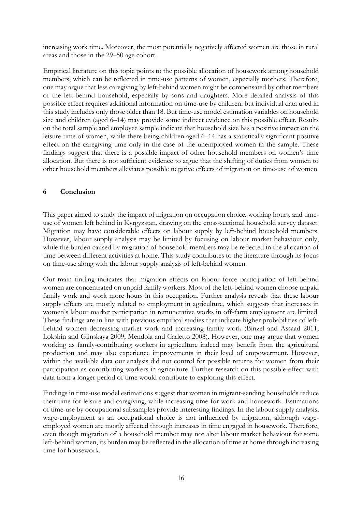increasing work time. Moreover, the most potentially negatively affected women are those in rural areas and those in the 29–50 age cohort.

Empirical literature on this topic points to the possible allocation of housework among household members, which can be reflected in time-use patterns of women, especially mothers. Therefore, one may argue that less caregiving by left-behind women might be compensated by other members of the left-behind household, especially by sons and daughters. More detailed analysis of this possible effect requires additional information on time-use by children, but individual data used in this study includes only those older than 18. But time-use model estimation variables on household size and children (aged 6–14) may provide some indirect evidence on this possible effect. Results on the total sample and employee sample indicate that household size has a positive impact on the leisure time of women, while there being children aged 6–14 has a statistically significant positive effect on the caregiving time only in the case of the unemployed women in the sample. These findings suggest that there is a possible impact of other household members on women's time allocation. But there is not sufficient evidence to argue that the shifting of duties from women to other household members alleviates possible negative effects of migration on time-use of women.

## **6 Conclusion**

This paper aimed to study the impact of migration on occupation choice, working hours, and timeuse of women left behind in Kyrgyzstan, drawing on the cross-sectional household survey dataset. Migration may have considerable effects on labour supply by left-behind household members. However, labour supply analysis may be limited by focusing on labour market behaviour only, while the burden caused by migration of household members may be reflected in the allocation of time between different activities at home. This study contributes to the literature through its focus on time-use along with the labour supply analysis of left-behind women.

Our main finding indicates that migration effects on labour force participation of left-behind women are concentrated on unpaid family workers. Most of the left-behind women choose unpaid family work and work more hours in this occupation. Further analysis reveals that these labour supply effects are mostly related to employment in agriculture, which suggests that increases in women's labour market participation in remunerative works in off-farm employment are limited. These findings are in line with previous empirical studies that indicate higher probabilities of leftbehind women decreasing market work and increasing family work (Binzel and Assaad 2011; Lokshin and Glinskaya 2009; Mendola and Carletto 2008). However, one may argue that women working as family-contributing workers in agriculture indeed may benefit from the agricultural production and may also experience improvements in their level of empowerment. However, within the available data our analysis did not control for possible returns for women from their participation as contributing workers in agriculture. Further research on this possible effect with data from a longer period of time would contribute to exploring this effect.

Findings in time-use model estimations suggest that women in migrant-sending households reduce their time for leisure and caregiving, while increasing time for work and housework. Estimations of time-use by occupational subsamples provide interesting findings. In the labour supply analysis, wage-employment as an occupational choice is not influenced by migration, although wageemployed women are mostly affected through increases in time engaged in housework. Therefore, even though migration of a household member may not alter labour market behaviour for some left-behind women, its burden may be reflected in the allocation of time at home through increasing time for housework.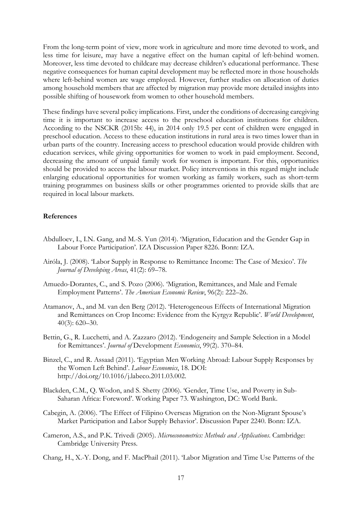From the long-term point of view, more work in agriculture and more time devoted to work, and less time for leisure, may have a negative effect on the human capital of left-behind women. Moreover, less time devoted to childcare may decrease children's educational performance. These negative consequences for human capital development may be reflected more in those households where left-behind women are wage employed. However, further studies on allocation of duties among household members that are affected by migration may provide more detailed insights into possible shifting of housework from women to other household members.

These findings have several policy implications. First, under the conditions of decreasing caregiving time it is important to increase access to the preschool education institutions for children. According to the NSCKR (2015b: 44), in 2014 only 19.5 per cent of children were engaged in preschool education. Access to these education institutions in rural area is two times lower than in urban parts of the country. Increasing access to preschool education would provide children with education services, while giving opportunities for women to work in paid employment. Second, decreasing the amount of unpaid family work for women is important. For this, opportunities should be provided to access the labour market. Policy interventions in this regard might include enlarging educational opportunities for women working as family workers, such as short-term training programmes on business skills or other programmes oriented to provide skills that are required in local labour markets.

### **References**

- Abdulloev, I., I.N. Gang, and M.-S. Yun (2014). 'Migration, Education and the Gender Gap in Labour Force Participation'. IZA Discussion Paper 8226. Bonn: IZA.
- Airóla, J. (2008). 'Labor Supply in Response to Remittance Income: The Case of Mexico'. *The Journal of Developing Areas*, 41(2): 69–78.
- Amuedo-Dorantes, C., and S. Pozo (2006). 'Migration, Remittances, and Male and Female Employment Patterns'. *The American Economic Review*, 96(2): 222–26.
- Atamanov, A., and M. van den Berg (2012). 'Heterogeneous Effects of International Migration and Remittances on Crop Income: Evidence from the Kyrgyz Republic'. *World Development*, 40(3): 620–30.
- Bettin, G., R. Lucchetti, and A. Zazzaro (2012). 'Endogeneity and Sample Selection in a Model for Remittances'. *Journal of* Development *Economics*, 99(2). 370–84.
- Binzel, C., and R. Assaad (2011). 'Egyptian Men Working Abroad: Labour Supply Responses by the Women Left Behind'. *Labour Economics*, 18. DOI: http://doi.org/10.1016/j.labeco.2011.03.002.
- Blackden, C.M., Q. Wodon, and S. Shetty (2006). 'Gender, Time Use, and Poverty in Sub-Saharan Africa: Foreword'. Working Paper 73. Washington, DC: World Bank.
- Cabegin, A. (2006). 'The Effect of Filipino Overseas Migration on the Non-Migrant Spouse's Market Participation and Labor Supply Behavior'. Discussion Paper 2240. Bonn: IZA.
- Cameron, A.S., and P.K. Trivedi (2005). *Microeconometrics: Methods and Applications*. Cambridge: Cambridge University Press.
- Chang, H., X.-Y. Dong, and F. MacPhail (2011). 'Labor Migration and Time Use Patterns of the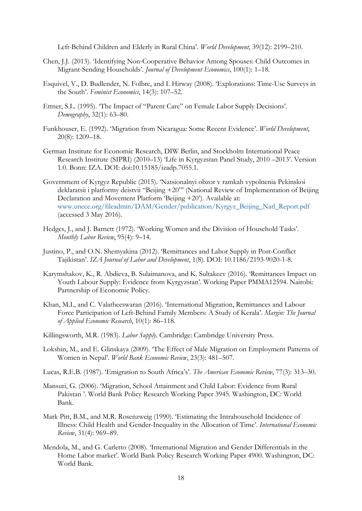Left-Behind Children and Elderly in Rural China'. *World Development*, 39(12): 2199–210.

- Chen, J.J. (2013). 'Identifying Non-Cooperative Behavior Among Spouses: Child Outcomes in Migrant-Sending Households'. *Journal of Development Economics*, 100(1): 1–18.
- Esquivel, V., D. Budlender, N. Folbre, and I. Hirway (2008). 'Explorations: Time-Use Surveys in the South'. *Feminist Economics*, 14(3): 107–52.
- Ettner, S.L. (1995). 'The Impact of "Parent Care" on Female Labor Supply Decisions'. *Demography*, 32(1): 63–80.
- Funkhouser, E. (1992). 'Migration from Nicaragua: Some Recent Evidence'. *World Development*, 20(8): 1209–18.
- German Institute for Economic Research, DIW Berlin, and Stockholm International Peace Research Institute (SIPRI) (2010–13) 'Life in Kyrgyzstan Panel Study, 2010 –2013'. Version 1.0. Bonn: IZA. DOI: doi:10.15185/izadp.7055.1.
- Government of Kyrgyz Republic (2015). 'Natsionalnyi obzor v ramkah vypolnenia Pekinskoi deklaratsii i platformy deistvii "Beijing +20"' (National Review of Implementation of Beijing Declaration and Movement Platform 'Beijing +20'). Available at: www.unece.org/fileadmin/DAM/Gender/publication/Kyrgyz\_Beijing\_Natl\_Report.pdf (accessed 3 May 2016).
- Hedges, J., and J. Barnett (1972). 'Working Women and the Division of Household Tasks'. *Monthly Labor Review*, 95(4): 9–14.
- Justino, P., and O.N. Shemyakina (2012). 'Remittances and Labor Supply in Post-Conflict Tajikistan'. *IZA Journal of Labor and Development*, 1(8). DOI: 10.1186/2193-9020-1-8.
- Karymshakov, K., R. Abdieva, B. Sulaimanova, and K. Sultakeev (2016). 'Remittances Impact on Youth Labour Supply: Evidence from Kyrgyzstan'. Working Paper PMMA12594. Nairobi: Partnership of Economic Policy.
- Khan, M.I., and C. Valatheeswaran (2016). 'International Migration, Remittances and Labour Force Participation of Left-Behind Family Members: A Study of Kerala'. *Margin: The Journal of Applied Economic Research*, 10(1): 86–118.
- Killingsworth, M.R. (1983). *Labor Supply*. Cambridge: Cambridge University Press.
- Lokshin, M., and E. Glinskaya (2009). 'The Effect of Male Migration on Employment Patterns of Women in Nepal'. *World Bank Economic Review*, 23(3): 481–507.
- Lucas, R.E.B. (1987). 'Emigration to South Africa's'. *The American Economic Review*, 77(3): 313–30.
- Mansuri, G. (2006). 'Migration, School Attainment and Child Labor: Evidence from Rural Pakistan '. World Bank Policy Research Working Paper 3945. Washington, DC: World Bank.
- Mark Pitt, B.M., and M.R. Rosenzweig (1990). 'Estimating the Intrahousehold Incidence of Illness: Child Health and Gender-Inequality in the Allocation of Time'. *International Economic Review*, 31(4): 969–89.
- Mendola, M., and G. Carletto (2008). 'International Migration and Gender Differentials in the Home Labor market'. World Bank Policy Research Working Paper 4900. Washington, DC: World Bank.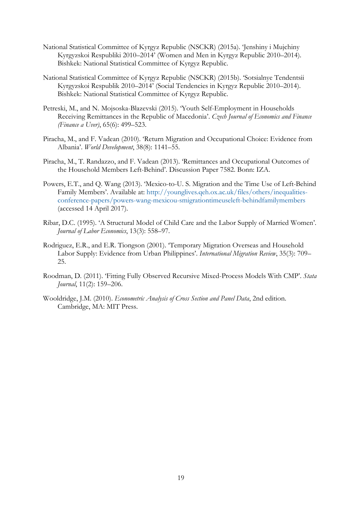- National Statistical Committee of Kyrgyz Republic (NSCKR) (2015a). 'Jenshiny i Mujchiny Kyrgyzskoi Respubliki 2010–2014' (Women and Men in Kyrgyz Republic 2010–2014). Bishkek: National Statistical Committee of Kyrgyz Republic.
- National Statistical Committee of Kyrgyz Republic (NSCKR) (2015b). 'Sotsialnye Tendentsii Kyrgyzskoi Respublik 2010–2014' (Social Tendencies in Kyrgyz Republic 2010–2014). Bishkek: National Statistical Committee of Kyrgyz Republic.
- Petreski, M., and N. Mojsoska-Blazevski (2015). 'Youth Self-Employment in Households Receiving Remittances in the Republic of Macedonia'. *Czech Journal of Economics and Finance (Finance a Uver)*, 65(6): 499–523.
- Piracha, M., and F. Vadean (2010). 'Return Migration and Occupational Choice: Evidence from Albania'. *World Development*, 38(8): 1141–55.
- Piracha, M., T. Randazzo, and F. Vadean (2013). 'Remittances and Occupational Outcomes of the Household Members Left-Behind'. Discussion Paper 7582. Bonn: IZA.
- Powers, E.T., and Q. Wang (2013). 'Mexico-to-U. S. Migration and the Time Use of Left-Behind Family Members'. Available at: http://younglives.qeh.ox.ac.uk/files/others/inequalitiesconference-papers/powers-wang-mexicou-smigrationtimeuseleft-behindfamilymembers (accessed 14 April 2017).
- Ribar, D.C. (1995). 'A Structural Model of Child Care and the Labor Supply of Married Women'. *Journal of Labor Economics*, 13(3): 558–97.
- Rodriguez, E.R., and E.R. Tiongson (2001). 'Temporary Migration Overseas and Household Labor Supply: Evidence from Urban Philippines'. *International Migration Review*, 35(3): 709– 25.
- Roodman, D. (2011). 'Fitting Fully Observed Recursive Mixed-Process Models With CMP'. *Stata Journal*, 11(2): 159–206.
- Wooldridge, J.M. (2010). *Econometric Analysis of Cross Section and Panel Data*, 2nd edition. Cambridge, MA: MIT Press.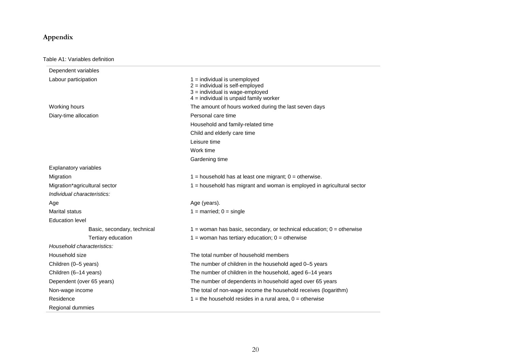## **Appendix**

#### Table A1: Variables definition

| Dependent variables           |                                                                                                                                                  |
|-------------------------------|--------------------------------------------------------------------------------------------------------------------------------------------------|
| Labour participation          | $1 =$ individual is unemployed<br>2 = individual is self-employed<br>3 = individual is wage-employed<br>$4 =$ individual is unpaid family worker |
| Working hours                 | The amount of hours worked during the last seven days                                                                                            |
| Diary-time allocation         | Personal care time                                                                                                                               |
|                               | Household and family-related time                                                                                                                |
|                               | Child and elderly care time                                                                                                                      |
|                               | Leisure time                                                                                                                                     |
|                               | Work time                                                                                                                                        |
|                               | Gardening time                                                                                                                                   |
| <b>Explanatory variables</b>  |                                                                                                                                                  |
| Migration                     | $1 =$ household has at least one migrant; $0 =$ otherwise.                                                                                       |
| Migration*agricultural sector | 1 = household has migrant and woman is employed in agricultural sector                                                                           |
| Individual characteristics:   |                                                                                                                                                  |
| Age                           | Age (years).                                                                                                                                     |
| Marital status                | $1 =$ married; $0 =$ single                                                                                                                      |
| <b>Education level</b>        |                                                                                                                                                  |
| Basic, secondary, technical   | $1$ = woman has basic, secondary, or technical education; $0$ = otherwise                                                                        |
| Tertiary education            | $1 =$ woman has tertiary education; $0 =$ otherwise                                                                                              |
| Household characteristics:    |                                                                                                                                                  |
| Household size                | The total number of household members                                                                                                            |
| Children (0-5 years)          | The number of children in the household aged 0-5 years                                                                                           |
| Children (6-14 years)         | The number of children in the household, aged 6-14 years                                                                                         |
| Dependent (over 65 years)     | The number of dependents in household aged over 65 years                                                                                         |
| Non-wage income               | The total of non-wage income the household receives (logarithm)                                                                                  |
| Residence                     | $1$ = the household resides in a rural area, $0$ = otherwise                                                                                     |
| Regional dummies              |                                                                                                                                                  |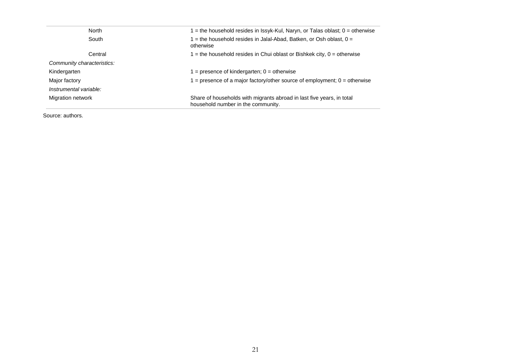| l = the household resides in Issyk-Kul, Naryn, or Talas oblast; 0 = otherwise                               |  |  |
|-------------------------------------------------------------------------------------------------------------|--|--|
| $=$ the household resides in Jalal-Abad, Batken, or Osh oblast, 0 =                                         |  |  |
| 1 = the household resides in Chui oblast or Bishkek city, $0 =$ otherwise                                   |  |  |
|                                                                                                             |  |  |
| $=$ presence of kindergarten; 0 = otherwise                                                                 |  |  |
| = presence of a major factory/other source of employment; $0 =$ otherwise                                   |  |  |
|                                                                                                             |  |  |
| Share of households with migrants abroad in last five years, in total<br>household number in the community. |  |  |
|                                                                                                             |  |  |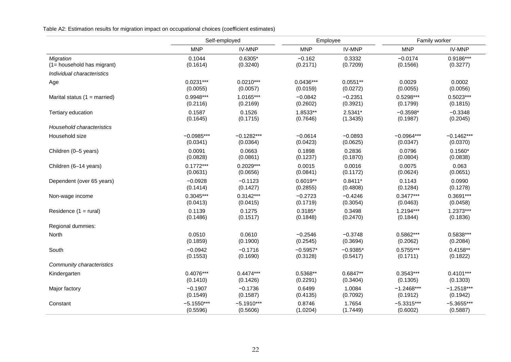Table A2: Estimation results for migration impact on occupational choices (coefficient estimates)

|                                  |              | Self-employed | Employee    |               | Family worker |              |
|----------------------------------|--------------|---------------|-------------|---------------|---------------|--------------|
|                                  | <b>MNP</b>   | <b>IV-MNP</b> | <b>MNP</b>  | <b>IV-MNP</b> | <b>MNP</b>    | IV-MNP       |
| Migration                        | 0.1044       | $0.6305*$     | $-0.162$    | 0.3332        | $-0.0174$     | 0.9186***    |
| (1= household has migrant)       | (0.1614)     | (0.3240)      | (0.2171)    | (0.7209)      | (0.1566)      | (0.3277)     |
| Individual characteristics       |              |               |             |               |               |              |
| Age                              | $0.0231***$  | $0.0210***$   | $0.0436***$ | $0.0551**$    | 0.0029        | 0.0002       |
|                                  | (0.0055)     | (0.0057)      | (0.0159)    | (0.0272)      | (0.0055)      | (0.0056)     |
| Marital status $(1 =$ married)   | $0.9948***$  | $1.0165***$   | $-0.0842$   | $-0.2351$     | $0.5298***$   | $0.5023***$  |
|                                  | (0.2116)     | (0.2169)      | (0.2602)    | (0.3921)      | (0.1799)      | (0.1815)     |
| Tertiary education               | 0.1587       | 0.1526        | 1.8533**    | 2.5341*       | $-0.3598*$    | $-0.3348$    |
|                                  | (0.1645)     | (0.1715)      | (0.7646)    | (1.3435)      | (0.1987)      | (0.2045)     |
| <b>Household characteristics</b> |              |               |             |               |               |              |
| Household size                   | $-0.0985***$ | $-0.1282***$  | $-0.0614$   | $-0.0893$     | $-0.0964***$  | $-0.1462***$ |
|                                  | (0.0341)     | (0.0364)      | (0.0423)    | (0.0625)      | (0.0347)      | (0.0370)     |
| Children (0-5 years)             | 0.0091       | 0.0663        | 0.1898      | 0.2836        | 0.0796        | $0.1560*$    |
|                                  | (0.0828)     | (0.0861)      | (0.1237)    | (0.1870)      | (0.0804)      | (0.0838)     |
| Children (6-14 years)            | $0.1772***$  | $0.2029***$   | 0.0015      | 0.0016        | 0.0075        | 0.063        |
|                                  | (0.0631)     | (0.0656)      | (0.0841)    | (0.1172)      | (0.0624)      | (0.0651)     |
| Dependent (over 65 years)        | $-0.0928$    | $-0.1123$     | $0.6019**$  | $0.8411*$     | 0.1143        | 0.0990       |
|                                  | (0.1414)     | (0.1427)      | (0.2855)    | (0.4808)      | (0.1284)      | (0.1278)     |
| Non-wage income                  | $0.3045***$  | $0.3142***$   | $-0.2723$   | $-0.4246$     | $0.3477***$   | $0.3691***$  |
|                                  | (0.0413)     | (0.0415)      | (0.1719)    | (0.3054)      | (0.0463)      | (0.0458)     |
| Residence (1 = rural)            | 0.1139       | 0.1275        | $0.3185*$   | 0.3498        | $1.2194***$   | 1.2373***    |
|                                  | (0.1486)     | (0.1517)      | (0.1848)    | (0.2470)      | (0.1844)      | (0.1836)     |
| Regional dummies:                |              |               |             |               |               |              |
| North                            | 0.0510       | 0.0610        | $-0.2546$   | $-0.3748$     | 0.5862***     | $0.5838***$  |
|                                  | (0.1859)     | (0.1900)      | (0.2545)    | (0.3694)      | (0.2062)      | (0.2084)     |
| South                            | $-0.0942$    | $-0.1716$     | $-0.5957*$  | $-0.9385*$    | $0.5755***$   | $0.4158**$   |
|                                  | (0.1553)     | (0.1690)      | (0.3128)    | (0.5417)      | (0.1711)      | (0.1822)     |
| Community characteristics        |              |               |             |               |               |              |
| Kindergarten                     | $0.4076***$  | $0.4474***$   | $0.5368**$  | $0.6847**$    | $0.3543***$   | $0.4101***$  |
|                                  | (0.1410)     | (0.1426)      | (0.2291)    | (0.3404)      | (0.1305)      | (0.1303)     |
| Major factory                    | $-0.1907$    | $-0.1736$     | 0.6499      | 1.0084        | $-1.2468***$  | $-1.2518***$ |
|                                  | (0.1549)     | (0.1587)      | (0.4135)    | (0.7092)      | (0.1912)      | (0.1942)     |
| Constant                         | $-5.1550***$ | $-5.1910***$  | 0.8746      | 1.7654        | $-5.3315***$  | $-5.3655***$ |
|                                  | (0.5596)     | (0.5606)      | (1.0204)    | (1.7449)      | (0.6002)      | (0.5887)     |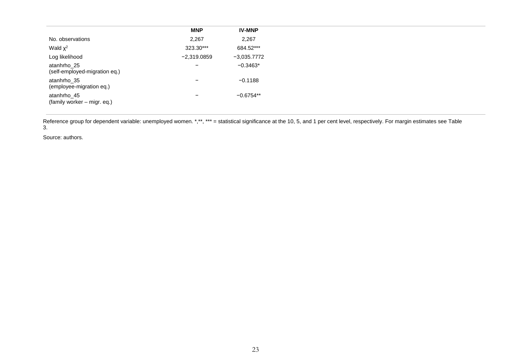|                                              | <b>MNP</b>               | <b>IV-MNP</b> |
|----------------------------------------------|--------------------------|---------------|
| No. observations                             | 2,267                    | 2,267         |
| Wald $\chi^2$                                | 323.30***                | 684.52***     |
| Log likelihood                               | $-2,319.0859$            | $-3,035.7772$ |
| atanhrho_25<br>(self-employed-migration eq.) | $\overline{\phantom{0}}$ | $-0.3463*$    |
| atanhrho_35<br>(employee-migration eq.)      | $\overline{\phantom{0}}$ | $-0.1188$     |
| atanhrho_45<br>(family worker – migr. eq.)   | $\qquad \qquad$          | $-0.6754**$   |

Reference group for dependent variable: unemployed women. \*,\*\*, \*\*\* = statistical significance at the 10, 5, and 1 per cent level, respectively. For margin estimates see Table 3.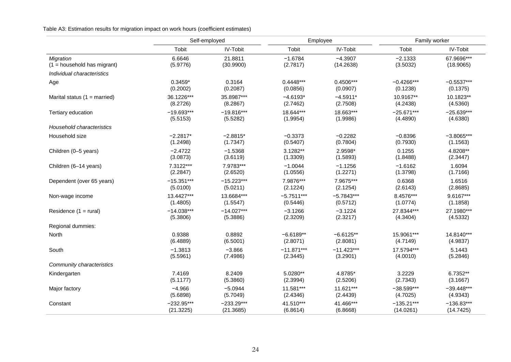Table A3: Estimation results for migration impact on work hours (coefficient estimates)

|                                | Self-employed |                 |              | Employee        | Family worker |                 |
|--------------------------------|---------------|-----------------|--------------|-----------------|---------------|-----------------|
|                                | Tobit         | <b>IV-Tobit</b> | Tobit        | <b>IV-Tobit</b> | Tobit         | <b>IV-Tobit</b> |
| Migration                      | 6.6646        | 21.8811         | $-1.6784$    | $-4.3907$       | $-2.1333$     | 67.9696***      |
| $(1 =$ household has migrant)  | (5.9776)      | (30.9900)       | (2.7817)     | (14.2638)       | (3.5032)      | (18.9065)       |
| Individual characteristics     |               |                 |              |                 |               |                 |
| Age                            | $0.3459*$     | 0.3164          | $0.4448***$  | $0.4506***$     | $-0.4266***$  | $-0.5537***$    |
|                                | (0.2002)      | (0.2087)        | (0.0856)     | (0.0907)        | (0.1238)      | (0.1375)        |
| Marital status $(1 = married)$ | 36.1226***    | 35.8987***      | $-4.6193*$   | $-4.5911*$      | 10.9167**     | 10.1823**       |
|                                | (8.2726)      | (8.2867)        | (2.7462)     | (2.7508)        | (4.2438)      | (4.5360)        |
| Tertiary education             | $-19.693***$  | $-19.816***$    | 18.644***    | 18.663***       | $-25.671***$  | $-25.639***$    |
|                                | (5.5153)      | (5.5282)        | (1.9954)     | (1.9986)        | (4.4890)      | (4.6380)        |
| Household characteristics      |               |                 |              |                 |               |                 |
| Household size                 | $-2.2817*$    | $-2.8815*$      | $-0.3373$    | $-0.2282$       | $-0.8396$     | $-3.8065***$    |
|                                | (1.2498)      | (1.7347)        | (0.5407)     | (0.7804)        | (0.7930)      | (1.1563)        |
| Children (0-5 years)           | $-2.4722$     | $-1.5368$       | 3.1282**     | 2.9598*         | 0.1255        | 4.8208**        |
|                                | (3.0873)      | (3.6119)        | (1.3309)     | (1.5893)        | (1.8488)      | (2.3447)        |
| Children (6-14 years)          | 7.3122***     | 7.9783***       | $-1.0044$    | $-1.1256$       | $-1.6162$     | 1.6094          |
|                                | (2.2847)      | (2.6520)        | (1.0556)     | (1.2271)        | (1.3798)      | (1.7166)        |
| Dependent (over 65 years)      | $-15.351***$  | $-15.223***$    | 7.9876***    | 7.9675***       | 0.6368        | 1.6516          |
|                                | (5.0100)      | (5.0211)        | (2.1224)     | (2.1254)        | (2.6143)      | (2.8685)        |
| Non-wage income                | 13.4427***    | 13.6684***      | $-5.7511***$ | $-5.7843***$    | 8.4576***     | 9.6167***       |
|                                | (1.4805)      | (1.5547)        | (0.5446)     | (0.5712)        | (1.0774)      | (1.1858)        |
| Residence $(1 = \text{rural})$ | $-14.038***$  | $-14.027***$    | $-3.1266$    | $-3.1224$       | 27.8344***    | 27.1980***      |
|                                | (5.3806)      | (5.3886)        | (2.3209)     | (2.3217)        | (4.3404)      | (4.5332)        |
| Regional dummies:              |               |                 |              |                 |               |                 |
| North                          | 0.9388        | 0.8892          | $-6.6189**$  | $-6.6125**$     | 15.9061***    | 14.8140***      |
|                                | (6.4889)      | (6.5001)        | (2.8071)     | (2.8081)        | (4.7149)      | (4.9837)        |
| South                          | $-1.3813$     | $-3.866$        | $-11.871***$ | $-11.423***$    | 17.5794***    | 5.1443          |
|                                | (5.5961)      | (7.4986)        | (2.3445)     | (3.2901)        | (4.0010)      | (5.2846)        |
| Community characteristics      |               |                 |              |                 |               |                 |
| Kindergarten                   | 7.4169        | 8.2409          | 5.0280**     | 4.8785*         | 3.2229        | 6.7352**        |
|                                | (5.1177)      | (5.3860)        | (2.3994)     | (2.5206)        | (2.7343)      | (3.1667)        |
| Major factory                  | $-4.966$      | $-5.0944$       | 11.581***    | 11.621***       | $-38.599***$  | $-39.448***$    |
|                                | (5.6898)      | (5.7049)        | (2.4346)     | (2.4439)        | (4.7025)      | (4.9343)        |
| Constant                       | $-232.95***$  | $-233.29***$    | 41.510***    | 41.466***       | $-135.21***$  | $-136.83***$    |
|                                | (21.3225)     | (21.3685)       | (6.8614)     | (6.8668)        | (14.0261)     | (14.7425)       |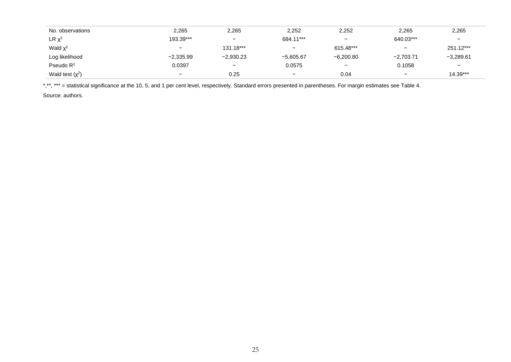| No. observations      | 2,265                    | 2,265       | 2,252                    | 2,252                    | 2,265                    | 2,265                    |
|-----------------------|--------------------------|-------------|--------------------------|--------------------------|--------------------------|--------------------------|
| $LR \chi^2$           | 193.39***                | -           | 684.11***                | -                        | 640.03***                | $\overline{\phantom{a}}$ |
| Wald $\chi^2$         | $\overline{\phantom{0}}$ | 131.18***   | $\overline{\phantom{0}}$ | 615.48***                | $\overline{\phantom{m}}$ | 251.12***                |
| Log likelihood        | $-2,335.99$              | $-2,930.23$ | $-5,605.67$              | $-6,200.80$              | $-2,703.71$              | $-3,289.61$              |
| Pseudo R <sup>2</sup> | 0.0397                   | -           | 0.0575                   | $\overline{\phantom{0}}$ | 0.1058                   | $\overline{\phantom{a}}$ |
| Wald test $(x^2)$     | $\overline{\phantom{0}}$ | 0.25        | $\qquad \qquad -$        | 0.04                     | $\overline{\phantom{0}}$ | $14.39***$               |

\*,\*\*, \*\*\* = statistical significance at the 10, 5, and 1 per cent level, respectively. Standard errors presented in parentheses. For margin estimates see Table 4.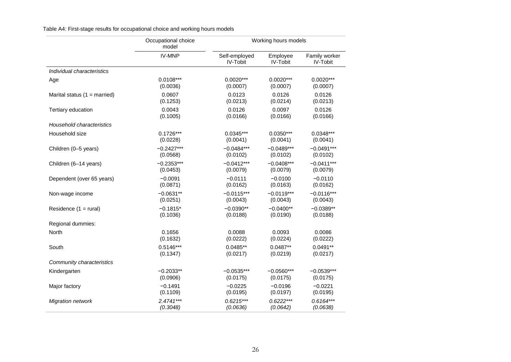Table A4: First-stage results for occupational choice and working hours models

|                                  | Occupational choice<br>model |                                  | Working hours models        |                           |
|----------------------------------|------------------------------|----------------------------------|-----------------------------|---------------------------|
|                                  | <b>IV-MNP</b>                | Self-employed<br><b>IV-Tobit</b> | Employee<br><b>IV-Tobit</b> | Family worker<br>IV-Tobit |
| Individual characteristics       |                              |                                  |                             |                           |
| Age                              | $0.0108***$                  | $0.0020***$                      | $0.0020***$                 | $0.0020***$               |
|                                  | (0.0036)                     | (0.0007)                         | (0.0007)                    | (0.0007)                  |
| Marital status $(1 =$ married)   | 0.0607                       | 0.0123                           | 0.0126                      | 0.0126                    |
|                                  | (0.1253)                     | (0.0213)                         | (0.0214)                    | (0.0213)                  |
| Tertiary education               | 0.0043                       | 0.0126                           | 0.0097                      | 0.0126                    |
|                                  | (0.1005)                     | (0.0166)                         | (0.0166)                    | (0.0166)                  |
| <b>Household characteristics</b> |                              |                                  |                             |                           |
| Household size                   | $0.1726***$                  | $0.0345***$                      | $0.0350***$                 | $0.0348***$               |
|                                  | (0.0228)                     | (0.0041)                         | (0.0041)                    | (0.0041)                  |
| Children (0-5 years)             | $-0.2427***$                 | $-0.0484***$                     | $-0.0489***$                | $-0.0491***$              |
|                                  | (0.0568)                     | (0.0102)                         | (0.0102)                    | (0.0102)                  |
| Children (6-14 years)            | $-0.2353***$                 | $-0.0412***$                     | $-0.0408***$                | $-0.0411***$              |
|                                  | (0.0453)                     | (0.0079)                         | (0.0079)                    | (0.0079)                  |
| Dependent (over 65 years)        | $-0.0091$                    | $-0.0111$                        | $-0.0100$                   | $-0.0110$                 |
|                                  | (0.0871)                     | (0.0162)                         | (0.0163)                    | (0.0162)                  |
| Non-wage income                  | $-0.0631**$                  | $-0.0115***$                     | $-0.0119***$                | $-0.0116***$              |
|                                  | (0.0251)                     | (0.0043)                         | (0.0043)                    | (0.0043)                  |
| Residence $(1 = \text{rural})$   | $-0.1815*$                   | $-0.0390**$                      | $-0.0400**$                 | $-0.0389**$               |
|                                  | (0.1036)                     | (0.0188)                         | (0.0190)                    | (0.0188)                  |
| Regional dummies:                |                              |                                  |                             |                           |
| North                            | 0.1656                       | 0.0088                           | 0.0093                      | 0.0086                    |
|                                  | (0.1632)                     | (0.0222)                         | (0.0224)                    | (0.0222)                  |
| South                            | $0.5146***$                  | $0.0485**$                       | $0.0487**$                  | $0.0491**$                |
|                                  | (0.1347)                     | (0.0217)                         | (0.0219)                    | (0.0217)                  |
| Community characteristics        |                              |                                  |                             |                           |
| Kindergarten                     | $-0.2033**$                  | $-0.0535***$                     | $-0.0560***$                | $-0.0539***$              |
|                                  | (0.0906)                     | (0.0175)                         | (0.0175)                    | (0.0175)                  |
| Major factory                    | $-0.1491$                    | $-0.0225$                        | $-0.0196$                   | $-0.0221$                 |
|                                  | (0.1109)                     | (0.0195)                         | (0.0197)                    | (0.0195)                  |
| <b>Migration network</b>         | $2.4741***$                  | $0.6215***$                      | $0.6222***$                 | $0.6164***$               |
|                                  | (0.3048)                     | (0.0636)                         | (0.0642)                    | (0.0638)                  |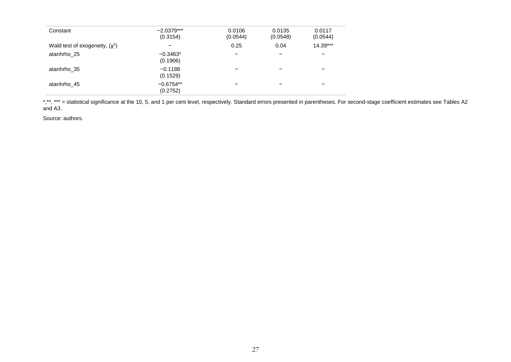| Constant                         | $-2.0379***$<br>(0.3154) | 0.0106<br>(0.0544) | 0.0135<br>(0.0548) | 0.0117<br>(0.0544)       |
|----------------------------------|--------------------------|--------------------|--------------------|--------------------------|
| Wald test of exogeneity, $(x^2)$ |                          | 0.25               | 0.04               | $14.39***$               |
| atanhrho 25                      | $-0.3463*$<br>(0.1906)   |                    | -                  | $\overline{\phantom{0}}$ |
| atanhrho 35                      | $-0.1188$<br>(0.1529)    |                    |                    | -                        |
| atanhrho 45                      | $-0.6754**$<br>(0.2752)  |                    |                    | -                        |

\*,\*\*, \*\*\* = statistical significance at the 10, 5, and 1 per cent level, respectively. Standard errors presented in parentheses. For second-stage coefficient estimates see Tables A2 and A3.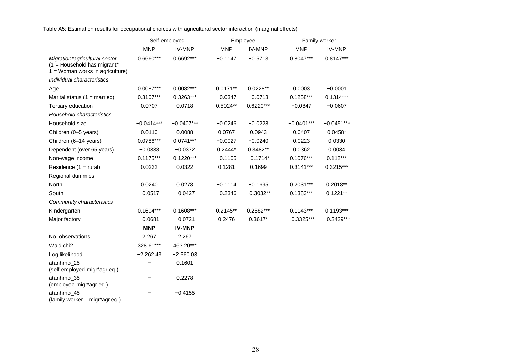|                                                                                                      | Self-employed |               |            | Employee      |              | Family worker |
|------------------------------------------------------------------------------------------------------|---------------|---------------|------------|---------------|--------------|---------------|
|                                                                                                      | <b>MNP</b>    | <b>IV-MNP</b> | <b>MNP</b> | <b>IV-MNP</b> | <b>MNP</b>   | <b>IV-MNP</b> |
| Migration*agricultural sector<br>$(1 =$ Household has migrant*<br>$1 = W$ oman works in agriculture) | $0.6660***$   | 0.6692***     | $-0.1147$  | $-0.5713$     | $0.8047***$  | $0.8147***$   |
| Individual characteristics                                                                           |               |               |            |               |              |               |
| Age                                                                                                  | 0.0087***     | 0.0082***     | $0.0171**$ | $0.0228**$    | 0.0003       | $-0.0001$     |
| Marital status $(1 = married)$                                                                       | $0.3107***$   | $0.3263***$   | $-0.0347$  | $-0.0713$     | $0.1258***$  | $0.1314***$   |
| Tertiary education                                                                                   | 0.0707        | 0.0718        | $0.5024**$ | $0.6220***$   | $-0.0847$    | $-0.0607$     |
| Household characteristics                                                                            |               |               |            |               |              |               |
| Household size                                                                                       | $-0.0414***$  | $-0.0407***$  | $-0.0246$  | $-0.0228$     | $-0.0401***$ | $-0.0451***$  |
| Children (0-5 years)                                                                                 | 0.0110        | 0.0088        | 0.0767     | 0.0943        | 0.0407       | $0.0458*$     |
| Children (6-14 years)                                                                                | 0.0786***     | $0.0741***$   | $-0.0027$  | $-0.0240$     | 0.0223       | 0.0330        |
| Dependent (over 65 years)                                                                            | $-0.0338$     | $-0.0372$     | $0.2444*$  | 0.3482**      | 0.0362       | 0.0034        |
| Non-wage income                                                                                      | $0.1175***$   | $0.1220***$   | $-0.1105$  | $-0.1714*$    | $0.1076***$  | $0.112***$    |
| Residence $(1 = \text{rural})$                                                                       | 0.0232        | 0.0322        | 0.1281     | 0.1699        | $0.3141***$  | $0.3215***$   |
| Regional dummies:                                                                                    |               |               |            |               |              |               |
| North                                                                                                | 0.0240        | 0.0278        | $-0.1114$  | $-0.1695$     | $0.2031***$  | $0.2018**$    |
| South                                                                                                | $-0.0517$     | $-0.0427$     | $-0.2346$  | $-0.3032**$   | $0.1383***$  | $0.1221**$    |
| Community characteristics                                                                            |               |               |            |               |              |               |
| Kindergarten                                                                                         | $0.1604***$   | $0.1608***$   | $0.2145**$ | 0.2582***     | $0.1143***$  | $0.1193***$   |
| Major factory                                                                                        | $-0.0681$     | $-0.0721$     | 0.2476     | $0.3617*$     | $-0.3325***$ | $-0.3429***$  |
|                                                                                                      | <b>MNP</b>    | <b>IV-MNP</b> |            |               |              |               |
| No. observations                                                                                     | 2,267         | 2,267         |            |               |              |               |
| Wald chi <sub>2</sub>                                                                                | 328.61***     | 463.20***     |            |               |              |               |
| Log likelihood                                                                                       | $-2,262.43$   | $-2,560.03$   |            |               |              |               |
| atanhrho_25<br>(self-employed-migr*agr eq.)                                                          |               | 0.1601        |            |               |              |               |
| atanhrho_35<br>(employee-migr*agr eq.)                                                               |               | 0.2278        |            |               |              |               |
| atanhrho_45<br>(family worker - migr*agr eq.)                                                        |               | $-0.4155$     |            |               |              |               |

Table A5: Estimation results for occupational choices with agricultural sector interaction (marginal effects)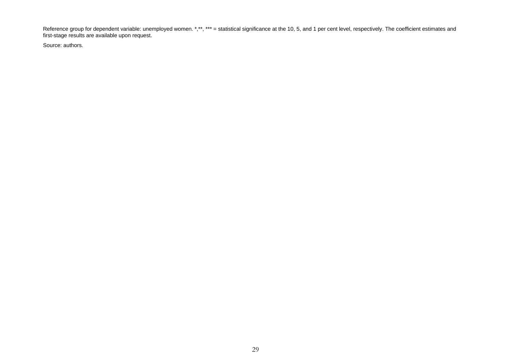Reference group for dependent variable: unemployed women. \*,\*\*, \*\*\* = statistical significance at the 10, 5, and 1 per cent level, respectively. The coefficient estimates and first-stage results are available upon request.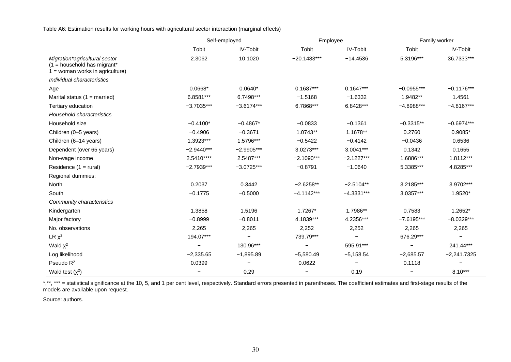Table A6: Estimation results for working hours with agricultural sector interaction (marginal effects)

|                                                                                                     | Self-employed |                 | Employee      |                 | Family worker |               |
|-----------------------------------------------------------------------------------------------------|---------------|-----------------|---------------|-----------------|---------------|---------------|
|                                                                                                     | Tobit         | <b>IV-Tobit</b> | Tobit         | <b>IV-Tobit</b> | Tobit         | IV-Tobit      |
| Migration*agricultural sector<br>$(1 =$ household has migrant*<br>$1 =$ woman works in agriculture) | 2.3062        | 10.1020         | $-20.1483***$ | $-14.4536$      | 5.3196***     | 36.7333***    |
| Individual characteristics                                                                          |               |                 |               |                 |               |               |
| Age                                                                                                 | 0.0668*       | $0.0640*$       | $0.1687***$   | $0.1647***$     | $-0.0955***$  | $-0.1176***$  |
| Marital status $(1 = married)$                                                                      | 6.8581***     | 6.7498***       | $-1.5168$     | $-1.6332$       | 1.9482**      | 1.4561        |
| Tertiary education                                                                                  | $-3.7035***$  | $-3.6174***$    | 6.7868***     | 6.8428***       | $-4.8988***$  | $-4.8167***$  |
| Household characteristics                                                                           |               |                 |               |                 |               |               |
| Household size                                                                                      | $-0.4100*$    | $-0.4867*$      | $-0.0833$     | $-0.1361$       | $-0.3315**$   | $-0.6974***$  |
| Children (0-5 years)                                                                                | $-0.4906$     | $-0.3671$       | 1.0743**      | 1.1678**        | 0.2760        | $0.9085*$     |
| Children (6-14 years)                                                                               | 1.3923***     | 1.5796***       | $-0.5422$     | $-0.4142$       | $-0.0436$     | 0.6536        |
| Dependent (over 65 years)                                                                           | $-2.9440***$  | $-2.9905***$    | $3.0273***$   | 3.0041***       | 0.1342        | 0.1655        |
| Non-wage income                                                                                     | 2.5410****    | 2.5487***       | $-2.1090***$  | $-2.1227***$    | 1.6886***     | 1.8112***     |
| Residence $(1 = \text{rural})$                                                                      | $-2.7939***$  | $-3.0725***$    | $-0.8791$     | $-1.0640$       | 5.3385***     | 4.8285***     |
| Regional dummies:                                                                                   |               |                 |               |                 |               |               |
| North                                                                                               | 0.2037        | 0.3442          | $-2.6258**$   | $-2.5104**$     | 3.2185***     | 3.9702***     |
| South                                                                                               | $-0.1775$     | $-0.5000$       | $-4.1142***$  | $-4.3331***$    | 3.0357***     | 1.9520*       |
| Community characteristics                                                                           |               |                 |               |                 |               |               |
| Kindergarten                                                                                        | 1.3858        | 1.5196          | $1.7267*$     | 1.7986**        | 0.7583        | 1.2652*       |
| Major factory                                                                                       | $-0.8999$     | $-0.8011$       | 4.1839***     | 4.2356***       | $-7.6195***$  | $-8.0329***$  |
| No. observations                                                                                    | 2,265         | 2,265           | 2,252         | 2,252           | 2,265         | 2,265         |
| $LR \chi^2$                                                                                         | 194.07***     |                 | 739.79***     |                 | 676.29***     |               |
| Wald $\chi^2$                                                                                       |               | 130.96***       |               | 595.91***       |               | 241.44***     |
| Log likelihood                                                                                      | $-2,335.65$   | $-1,895.89$     | $-5,580.49$   | $-5,158.54$     | $-2,685.57$   | $-2,241.7325$ |
| Pseudo $R^2$                                                                                        | 0.0399        | -               | 0.0622        |                 | 0.1118        |               |
| Wald test $(x^2)$                                                                                   |               | 0.29            |               | 0.19            |               | $8.10***$     |

\*,\*\*, \*\*\* = statistical significance at the 10, 5, and 1 per cent level, respectively. Standard errors presented in parentheses. The coefficient estimates and first-stage results of the models are available upon request.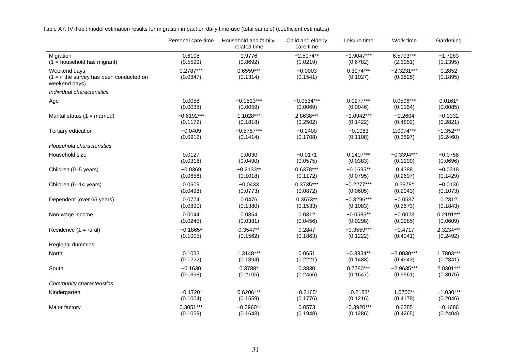Table A7: IV-Tobit model estimation results for migration impact on daily time-use (total sample) (coefficient estimates)

|                                                                             | Personal care time      | Household and family-<br>related time | Child and elderly<br>care time | Leisure time            | Work time                | Gardening          |
|-----------------------------------------------------------------------------|-------------------------|---------------------------------------|--------------------------------|-------------------------|--------------------------|--------------------|
| Migration                                                                   | 0.6108                  | 0.9776                                | $-2.5074**$                    | $-1.9047***$            | 6.5793***                | $-1.7283$          |
| $(1 =$ household has migrant)                                               | (0.5599)                | (0.8692)                              | (1.0219)                       | (0.6782)                | (2.3051)                 | (1.1395)           |
| Weekend days<br>$(1 = if the survey has been conducted on$<br>weekend days) | $0.2787***$<br>(0.0847) | $0.6559***$<br>(0.1314)               | $-0.0003$<br>(0.1541)          | $0.3974***$<br>(0.1027) | $-2.3231***$<br>(0.3525) | 0.2852<br>(0.1895) |
| Individual characteristics                                                  |                         |                                       |                                |                         |                          |                    |
| Age                                                                         | 0.0058                  | $-0.0513***$                          | $-0.0534***$                   | $0.0277***$             | $0.0596***$              | $0.0161*$          |
|                                                                             | (0.0038)                | (0.0059)                              | (0.0069)                       | (0.0046)                | (0.0154)                 | (0.0085)           |
| Marital status $(1 = married)$                                              | $-0.6192***$            | 1.1028***                             | 2.8638***                      | $-1.0942***$            | $-0.2604$                | $-0.0332$          |
|                                                                             | (0.1172)                | (0.1818)                              | (0.2502)                       | (0.1422)                | (0.4802)                 | (0.2821)           |
| Tertiary education                                                          | $-0.0409$               | $-0.5757***$                          | $-0.2400$                      | $-0.1083$               | 2.0074***                | $-1.352***$        |
|                                                                             | (0.0912)                | (0.1414)                              | (0.1708)                       | (0.1108)                | (0.3597)                 | (0.2460)           |
| Household characteristics                                                   |                         |                                       |                                |                         |                          |                    |
| Household size                                                              | 0.0127                  | 0.0030                                | $-0.0171$                      | $0.1407***$             | $-0.3394***$             | $-0.0758$          |
|                                                                             | (0.0316)                | (0.0490)                              | (0.0575)                       | (0.0383)                | (0.1299)                 | (0.0696)           |
| Children (0-5 years)                                                        | $-0.0369$               | $-0.2133**$                           | 0.6378***                      | $-0.1695**$             | 0.4388                   | $-0.0318$          |
|                                                                             | (0.0656)                | (0.1018)                              | (0.1172)                       | (0.0795)                | (0.2697)                 | (0.1429)           |
| Children (6-14 years)                                                       | 0.0609                  | $-0.0433$                             | 0.3735***                      | $-0.2277***$            | $0.3978*$                | $-0.0136$          |
|                                                                             | (0.0498)                | (0.0773)                              | (0.0872)                       | (0.0605)                | (0.2043)                 | (0.1073)           |
| Dependent (over 65 years)                                                   | 0.0774                  | 0.0476                                | $0.3573**$                     | $-0.3296***$            | $-0.0537$                | 0.2312             |
|                                                                             | (0.0890)                | (0.1380)                              | (0.1533)                       | (0.1083)                | (0.3673)                 | (0.1843)           |
| Non-wage income                                                             | 0.0044                  | 0.0354                                | 0.0312                         | $-0.0585**$             | $-0.0023$                | $0.2191***$        |
|                                                                             | (0.0245)                | (0.0381)                              | (0.0456)                       | (0.0298)                | (0.0985)                 | (0.0609)           |
| Residence $(1 = \text{rural})$                                              | $-0.1865*$              | $0.3547**$                            | 0.2847                         | $-0.3559***$            | $-0.4717$                | 2.3234***          |
|                                                                             | (0.1005)                | (0.1562)                              | (0.1863)                       | (0.1222)                | (0.4041)                 | (0.2492)           |
| Regional dummies:                                                           |                         |                                       |                                |                         |                          |                    |
| North                                                                       | 0.1033                  | 1.3148***                             | 0.0651                         | $-0.3334**$             | $-2.0830***$             | 1.7803***          |
|                                                                             | (0.1222)                | (0.1894)                              | (0.2221)                       | (0.1488)                | (0.4943)                 | (0.2841)           |
| South                                                                       | $-0.1630$               | $0.3788*$                             | 0.3830                         | $0.7780***$             | $-2.9635***$             | 2.0301***          |
|                                                                             | (0.1358)                | (0.2106)                              | (0.2466)                       | (0.1647)                | (0.5561)                 | (0.3075)           |
| Community characteristics                                                   |                         |                                       |                                |                         |                          |                    |
| Kindergarten                                                                | $-0.1720*$              | $0.6206***$                           | $-0.3165*$                     | $-0.2183*$              | 1.0700**                 | $-1.030***$        |
|                                                                             | (0.1004)                | (0.1559)                              | (0.1776)                       | (0.1216)                | (0.4178)                 | (0.2046)           |
| Major factory                                                               | $0.3051***$             | $-0.3960**$                           | 0.0573                         | $-0.3920***$            | 0.6285                   | $-0.1686$          |
|                                                                             | (0.1059)                | (0.1643)                              | (0.1948)                       | (0.1286)                | (0.4265)                 | (0.2404)           |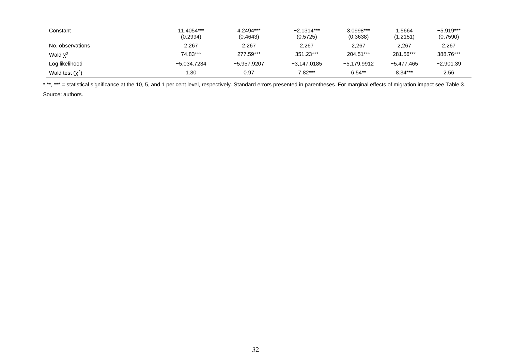| Constant             | 11.4054***<br>(0.2994) | 4.2494***<br>(0.4643) | $-2.1314***$<br>(0.5725) | 3.0998***<br>(0.3638) | .5664<br>(1.2151) | $-5.919***$<br>(0.7590) |
|----------------------|------------------------|-----------------------|--------------------------|-----------------------|-------------------|-------------------------|
| No. observations     | 2,267                  | 2,267                 | 2,267                    | 2.267                 | 2.267             | 2,267                   |
| Wald $\chi^2$        | 74.83***               | 277.59***             | 351.23***                | 204.51***             | 281.56***         | 388.76***               |
| Log likelihood       | -5,034.7234            | -5.957.9207           | -3.147.0185              | -5.179.9912           | -5.477.465        | $-2,901.39$             |
| Wald test $(\chi^2)$ | 30. ا                  | 0.97                  | $7.82***$                | $6.54**$              | $8.34***$         | 2.56                    |

\*,\*\*, \*\*\* = statistical significance at the 10, 5, and 1 per cent level, respectively. Standard errors presented in parentheses. For marginal effects of migration impact see Table 3.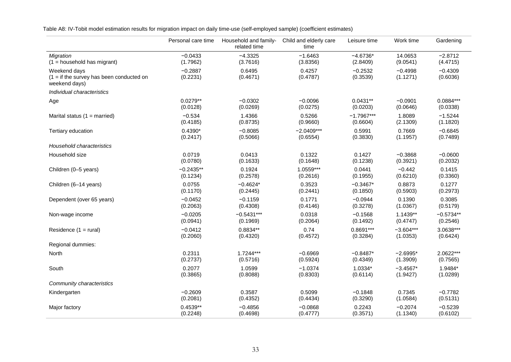Table A8: IV-Tobit model estimation results for migration impact on daily time-use (self-employed sample) (coefficient estimates)

|                                                                             | Personal care time    | Household and family-<br>related time | Child and elderly care<br>time | Leisure time          | Work time             | Gardening             |
|-----------------------------------------------------------------------------|-----------------------|---------------------------------------|--------------------------------|-----------------------|-----------------------|-----------------------|
| <b>Migration</b>                                                            | $-0.0433$             | $-4.3325$                             | $-1.6463$                      | $-4.6736*$            | 14.0653               | $-2.8712$             |
| $(1 =$ household has migrant)                                               | (1.7962)              | (3.7616)                              | (3.8356)                       | (2.8409)              | (9.0541)              | (4.4715)              |
| Weekend days<br>$(1 = if the survey has been conducted on$<br>weekend days) | $-0.2887$<br>(0.2231) | 0.6495<br>(0.4671)                    | 0.4257<br>(0.4787)             | $-0.2532$<br>(0.3539) | $-0.4998$<br>(1.1271) | $-0.4309$<br>(0.6036) |
| Individual characteristics                                                  |                       |                                       |                                |                       |                       |                       |
| Age                                                                         | $0.0279**$            | $-0.0302$                             | $-0.0096$                      | $0.0431**$            | $-0.0901$             | $0.0884***$           |
|                                                                             | (0.0128)              | (0.0269)                              | (0.0275)                       | (0.0203)              | (0.0646)              | (0.0338)              |
| Marital status $(1 =$ married)                                              | $-0.534$              | 1.4366                                | 0.5266                         | $-1.7967***$          | 1.8089                | $-1.5244$             |
|                                                                             | (0.4185)              | (0.8735)                              | (0.9660)                       | (0.6604)              | (2.1309)              | (1.1820)              |
| Tertiary education                                                          | $0.4390*$             | $-0.8085$                             | $-2.0409***$                   | 0.5991                | 0.7669                | $-0.6845$             |
|                                                                             | (0.2417)              | (0.5066)                              | (0.6554)                       | (0.3830)              | (1.1957)              | (0.7489)              |
| Household characteristics                                                   |                       |                                       |                                |                       |                       |                       |
| Household size                                                              | 0.0719                | 0.0413                                | 0.1322                         | 0.1427                | $-0.3868$             | $-0.0600$             |
|                                                                             | (0.0780)              | (0.1633)                              | (0.1648)                       | (0.1238)              | (0.3921)              | (0.2032)              |
| Children (0-5 years)                                                        | $-0.2435**$           | 0.1924                                | 1.0559***                      | 0.0441                | $-0.442$              | 0.1415                |
|                                                                             | (0.1234)              | (0.2578)                              | (0.2616)                       | (0.1955)              | (0.6210)              | (0.3360)              |
| Children (6-14 years)                                                       | 0.0755                | $-0.4624*$                            | 0.3523                         | $-0.3467*$            | 0.8873                | 0.1277                |
|                                                                             | (0.1170)              | (0.2445)                              | (0.2441)                       | (0.1850)              | (0.5903)              | (0.2973)              |
| Dependent (over 65 years)                                                   | $-0.0452$             | $-0.1159$                             | 0.1771                         | $-0.0944$             | 0.1390                | 0.3085                |
|                                                                             | (0.2063)              | (0.4308)                              | (0.4146)                       | (0.3278)              | (1.0367)              | (0.5179)              |
| Non-wage income                                                             | $-0.0205$             | $-0.5431***$                          | 0.0318                         | $-0.1568$             | $1.1439**$            | $-0.5734**$           |
|                                                                             | (0.0941)              | (0.1969)                              | (0.2064)                       | (0.1492)              | (0.4747)              | (0.2546)              |
| Residence $(1 = \text{rural})$                                              | $-0.0412$             | $0.8834**$                            | 0.74                           | $0.8691***$           | $-3.604***$           | 3.0638***             |
|                                                                             | (0.2060)              | (0.4320)                              | (0.4572)                       | (0.3284)              | (1.0353)              | (0.6424)              |
| Regional dummies:                                                           |                       |                                       |                                |                       |                       |                       |
| North                                                                       | 0.2311                | $1.7244***$                           | $-0.6969$                      | $-0.8487*$            | $-2.6995*$            | 2.0622***             |
|                                                                             | (0.2737)              | (0.5716)                              | (0.5924)                       | (0.4349)              | (1.3909)              | (0.7565)              |
| South                                                                       | 0.2077                | 1.0599                                | $-1.0374$                      | 1.0334*               | $-3.4567*$            | 1.9484*               |
|                                                                             | (0.3865)              | (0.8088)                              | (0.8303)                       | (0.6114)              | (1.9427)              | (1.0289)              |
| Community characteristics                                                   |                       |                                       |                                |                       |                       |                       |
| Kindergarten                                                                | $-0.2609$             | 0.3587                                | 0.5099                         | $-0.1848$             | 0.7345                | $-0.7782$             |
|                                                                             | (0.2081)              | (0.4352)                              | (0.4434)                       | (0.3290)              | (1.0584)              | (0.5131)              |
| Major factory                                                               | $0.4539**$            | $-0.4856$                             | $-0.0868$                      | 0.2243                | $-0.2074$             | $-0.5239$             |
|                                                                             | (0.2248)              | (0.4698)                              | (0.4777)                       | (0.3571)              | (1.1340)              | (0.6102)              |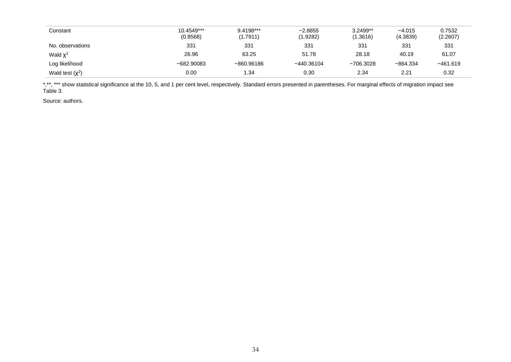| Constant             | 10.4549***<br>(0.8568) | 9.4198***<br>(1.7911) | $-2.8855$<br>(1.9282) | $3.2499**$<br>(1.3616) | $-4.015$<br>(4.3839) | 0.7532<br>(2.2607) |
|----------------------|------------------------|-----------------------|-----------------------|------------------------|----------------------|--------------------|
| No. observations     | 331                    | 331                   | 331                   | 331                    | 331                  | 331                |
| Wald $\chi^2$        | 26.96                  | 63.25                 | 51.78                 | 28.18                  | 40.19                | 61.07              |
| Log likelihood       | $-682.90083$           | $-860.96186$          | $-440.36104$          | $-706.3028$            | $-864.334$           | $-461.619$         |
| Wald test $(\chi^2)$ | 0.00                   | 1.34                  | 0.30                  | 2.34                   | 2.21                 | 0.32               |

\*,\*\*, \*\*\* show statistical significance at the 10, 5, and 1 per cent level, respectively. Standard errors presented in parentheses. For marginal effects of migration impact see Table 3.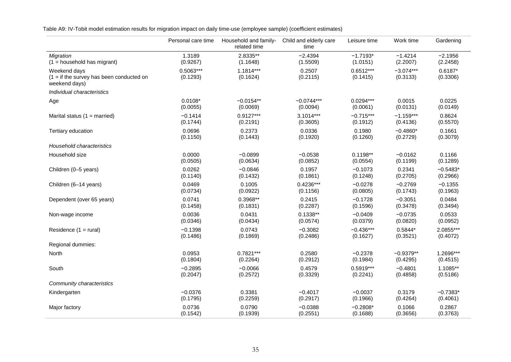Table A9: IV-Tobit model estimation results for migration impact on daily time-use (employee sample) (coefficient estimates)

|                                                                             | Personal care time      | Household and family-<br>related time | Child and elderly care<br>time | Leisure time            | Work time               | Gardening             |
|-----------------------------------------------------------------------------|-------------------------|---------------------------------------|--------------------------------|-------------------------|-------------------------|-----------------------|
| Migration                                                                   | 1.3189                  | 2.8335**                              | $-2.4394$                      | $-1.7193*$              | $-1.4214$               | $-2.1956$             |
| $(1 =$ household has migrant)                                               | (0.9267)                | (1.1648)                              | (1.5509)                       | (1.0151)                | (2.2007)                | (2.2458)              |
| Weekend days<br>$(1 = if the survey has been conducted on$<br>weekend days) | $0.5063***$<br>(0.1293) | $1.1814***$<br>(0.1624)               | 0.2507<br>(0.2115)             | $0.6512***$<br>(0.1415) | $-3.074***$<br>(0.3133) | $0.6187*$<br>(0.3306) |
| Individual characteristics                                                  |                         |                                       |                                |                         |                         |                       |
| Age                                                                         | $0.0108*$               | $-0.0154**$                           | $-0.0744***$                   | $0.0294***$             | 0.0015                  | 0.0225                |
|                                                                             | (0.0055)                | (0.0069)                              | (0.0094)                       | (0.0061)                | (0.0131)                | (0.0149)              |
| Marital status $(1 = married)$                                              | $-0.1414$               | $0.9127***$                           | $3.1014***$                    | $-0.715***$             | $-1.159***$             | 0.8624                |
|                                                                             | (0.1744)                | (0.2191)                              | (0.3605)                       | (0.1912)                | (0.4136)                | (0.5570)              |
| Tertiary education                                                          | 0.0696                  | 0.2373                                | 0.0336                         | 0.1980                  | $-0.4860*$              | 0.1661                |
|                                                                             | (0.1150)                | (0.1443)                              | (0.1920)                       | (0.1260)                | (0.2729)                | (0.3079)              |
| Household characteristics                                                   |                         |                                       |                                |                         |                         |                       |
| Household size                                                              | 0.0000                  | $-0.0899$                             | $-0.0538$                      | $0.1198**$              | $-0.0162$               | 0.1166                |
|                                                                             | (0.0505)                | (0.0634)                              | (0.0852)                       | (0.0554)                | (0.1199)                | (0.1289)              |
| Children (0-5 years)                                                        | 0.0262                  | $-0.0846$                             | 0.1957                         | $-0.1073$               | 0.2341                  | $-0.5483*$            |
|                                                                             | (0.1140)                | (0.1432)                              | (0.1861)                       | (0.1248)                | (0.2705)                | (0.2966)              |
| Children (6-14 years)                                                       | 0.0469                  | 0.1005                                | $0.4236***$                    | $-0.0278$               | $-0.2769$               | $-0.1355$             |
|                                                                             | (0.0734)                | (0.0922)                              | (0.1156)                       | (0.0805)                | (0.1743)                | (0.1963)              |
| Dependent (over 65 years)                                                   | 0.0741                  | 0.3968**                              | 0.2415                         | $-0.1728$               | $-0.3051$               | 0.0484                |
|                                                                             | (0.1458)                | (0.1831)                              | (0.2287)                       | (0.1596)                | (0.3478)                | (0.3494)              |
| Non-wage income                                                             | 0.0036                  | 0.0431                                | $0.1338**$                     | $-0.0409$               | $-0.0735$               | 0.0533                |
|                                                                             | (0.0346)                | (0.0434)                              | (0.0574)                       | (0.0379)                | (0.0820)                | (0.0952)              |
| Residence $(1 = \text{rural})$                                              | $-0.1398$               | 0.0743                                | $-0.3082$                      | $-0.436***$             | $0.5844*$               | 2.0855***             |
|                                                                             | (0.1486)                | (0.1869)                              | (0.2486)                       | (0.1627)                | (0.3521)                | (0.4072)              |
| Regional dummies:                                                           |                         |                                       |                                |                         |                         |                       |
| North                                                                       | 0.0953                  | $0.7821***$                           | 0.2580                         | $-0.2378$               | $-0.9379**$             | 1.2696***             |
|                                                                             | (0.1804)                | (0.2264)                              | (0.2912)                       | (0.1984)                | (0.4295)                | (0.4515)              |
| South                                                                       | $-0.2895$               | $-0.0066$                             | 0.4579                         | $0.5919***$             | $-0.4801$               | 1.1085**              |
|                                                                             | (0.2047)                | (0.2572)                              | (0.3329)                       | (0.2241)                | (0.4858)                | (0.5186)              |
| Community characteristics                                                   |                         |                                       |                                |                         |                         |                       |
| Kindergarten                                                                | $-0.0376$               | 0.3381                                | $-0.4017$                      | $-0.0037$               | 0.3179                  | $-0.7383*$            |
|                                                                             | (0.1795)                | (0.2259)                              | (0.2917)                       | (0.1966)                | (0.4264)                | (0.4061)              |
| Major factory                                                               | 0.0736                  | 0.0790                                | $-0.0388$                      | $-0.2808*$              | 0.1066                  | 0.2867                |
|                                                                             | (0.1542)                | (0.1939)                              | (0.2551)                       | (0.1688)                | (0.3656)                | (0.3763)              |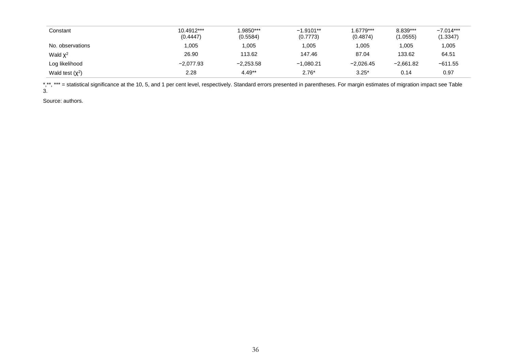| Constant          | 10.4912***<br>(0.4447) | 1.9850***<br>(0.5584) | $-1.9101**$<br>(0.7773) | $.6779***$<br>(0.4874) | 8.839***<br>(1.0555) | $-7.014***$<br>(1.3347) |
|-------------------|------------------------|-----------------------|-------------------------|------------------------|----------------------|-------------------------|
| No. observations  | 005. ا                 | 1,005                 | 1,005                   | 1,005                  | 1,005                | ,005                    |
| Wald $\chi^2$     | 26.90                  | 113.62                | 147.46                  | 87.04                  | 133.62               | 64.51                   |
| Log likelihood    | $-2.077.93$            | $-2,253.58$           | $-1.080.21$             | $-2.026.45$            | $-2.661.82$          | $-611.55$               |
| Wald test $(x^2)$ | 2.28                   | $4.49**$              | $2.76*$                 | $3.25*$                | 0.14                 | 0.97                    |

\*,\*\*, \*\*\* = statistical significance at the 10, 5, and 1 per cent level, respectively. Standard errors presented in parentheses. For margin estimates of migration impact see Table 3.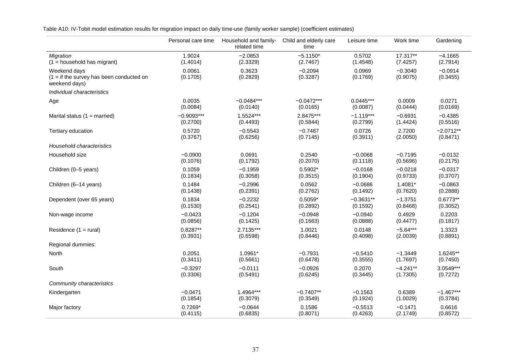Table A10: IV-Tobit model estimation results for migration impact on daily time-use (family worker sample) (coefficient estimates)

|                                                                             | Personal care time | Household and family-<br>related time | Child and elderly care<br>time | Leisure time       | Work time             | Gardening             |
|-----------------------------------------------------------------------------|--------------------|---------------------------------------|--------------------------------|--------------------|-----------------------|-----------------------|
| <b>Migration</b>                                                            | 1.9024             | $-2.0853$                             | $-5.1150*$                     | 0.5702             | 17.317**              | $-4.1665$             |
| $(1 =$ household has migrant)                                               | (1.4014)           | (2.3329)                              | (2.7467)                       | (1.4548)           | (7.4257)              | (2.7914)              |
| Weekend days<br>$(1 = if the survey has been conducted on$<br>weekend days) | 0.0061<br>(0.1705) | 0.3623<br>(0.2829)                    | $-0.2094$<br>(0.3287)          | 0.0969<br>(0.1769) | $-0.3040$<br>(0.9075) | $-0.0914$<br>(0.3455) |
| Individual characteristics                                                  |                    |                                       |                                |                    |                       |                       |
| Age                                                                         | 0.0035             | $-0.0484***$                          | $-0.0472***$                   | $0.0445***$        | 0.0009                | 0.0271                |
|                                                                             | (0.0084)           | (0.0140)                              | (0.0165)                       | (0.0087)           | (0.0444)              | (0.0169)              |
| Marital status $(1 =$ married)                                              | $-0.9093***$       | 1.5524***                             | 2.8475***                      | $-1.119***$        | $-0.6931$             | $-0.4385$             |
|                                                                             | (0.2700)           | (0.4493)                              | (0.5844)                       | (0.2799)           | (1.4424)              | (0.5516)              |
| Tertiary education                                                          | 0.5720             | $-0.5543$                             | $-0.7487$                      | 0.0726             | 2.7200                | $-2.0712**$           |
|                                                                             | (0.3767)           | (0.6256)                              | (0.7145)                       | (0.3911)           | (2.0050)              | (0.8471)              |
| Household characteristics                                                   |                    |                                       |                                |                    |                       |                       |
| Household size                                                              | $-0.0900$          | 0.0691                                | 0.2540                         | $-0.0068$          | $-0.7195$             | $-0.0132$             |
|                                                                             | (0.1076)           | (0.1792)                              | (0.2070)                       | (0.1118)           | (0.5696)              | (0.2175)              |
| Children (0-5 years)                                                        | 0.1059             | $-0.1959$                             | $0.5902*$                      | $-0.0168$          | $-0.0218$             | $-0.0317$             |
|                                                                             | (0.1834)           | (0.3058)                              | (0.3515)                       | (0.1904)           | (0.9733)              | (0.3707)              |
| Children (6-14 years)                                                       | 0.1484             | $-0.2996$                             | 0.0562                         | $-0.0686$          | 1.4081*               | $-0.0863$             |
|                                                                             | (0.1438)           | (0.2391)                              | (0.2762)                       | (0.1492)           | (0.7620)              | (0.2888)              |
| Dependent (over 65 years)                                                   | 0.1834             | $-0.2232$                             | $0.5059*$                      | $-0.3631**$        | $-1.3751$             | $0.6773**$            |
|                                                                             | (0.1530)           | (0.2541)                              | (0.2892)                       | (0.1592)           | (0.8468)              | (0.3052)              |
| Non-wage income                                                             | $-0.0423$          | $-0.1204$                             | $-0.0948$                      | $-0.0940$          | 0.4929                | 0.2203                |
|                                                                             | (0.0856)           | (0.1425)                              | (0.1663)                       | (0.0888)           | (0.4477)              | (0.1817)              |
| Residence $(1 = \text{rural})$                                              | $0.8287**$         | 2.7135***                             | 1.0021                         | 0.0148             | $-5.64***$            | 1.3323                |
|                                                                             | (0.3931)           | (0.6598)                              | (0.8446)                       | (0.4098)           | (2.0039)              | (0.8891)              |
| Regional dummies:                                                           |                    |                                       |                                |                    |                       |                       |
| North                                                                       | 0.2051             | 1.0961*                               | $-0.7931$                      | $-0.5410$          | $-1.3449$             | $1.6245**$            |
|                                                                             | (0.3411)           | (0.5661)                              | (0.6478)                       | (0.3555)           | (1.7697)              | (0.7450)              |
| South                                                                       | $-0.3297$          | $-0.0111$                             | $-0.0926$                      | 0.2070             | $-4.241**$            | $3.0549***$           |
|                                                                             | (0.3306)           | (0.5491)                              | (0.6245)                       | (0.3445)           | (1.7305)              | (0.7272)              |
| Community characteristics                                                   |                    |                                       |                                |                    |                       |                       |
| Kindergarten                                                                | $-0.0471$          | 1.4964***                             | $-0.7407**$                    | $-0.1563$          | 0.6389                | $-1.467***$           |
|                                                                             | (0.1854)           | (0.3079)                              | (0.3549)                       | (0.1924)           | (1.0029)              | (0.3784)              |
| Major factory                                                               | $0.7269*$          | $-0.0644$                             | 0.1586                         | $-0.5513$          | $-0.1471$             | 0.6616                |
|                                                                             | (0.4115)           | (0.6835)                              | (0.8071)                       | (0.4263)           | (2.1749)              | (0.8572)              |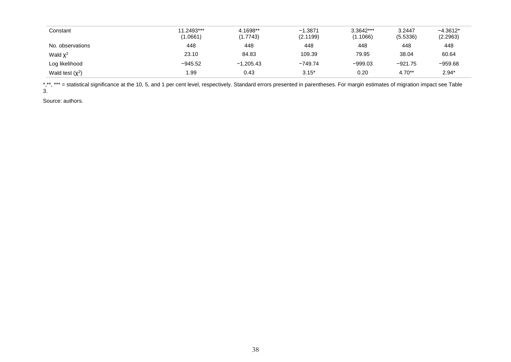| Constant             | 11.2493***<br>(1.0661) | 4.1698**<br>(1.7743) | $-1.3871$<br>(2.1199) | 3.3642***<br>(1.1066) | 3.2447<br>(5.5336) | $-4.3612*$<br>(2.2963) |
|----------------------|------------------------|----------------------|-----------------------|-----------------------|--------------------|------------------------|
| No. observations     | 448                    | 448                  | 448                   | 448                   | 448                | 448                    |
| Wald $\chi^2$        | 23.10                  | 84.83                | 109.39                | 79.95                 | 38.04              | 60.64                  |
| Log likelihood       | $-945.52$              | $-1.205.43$          | $-749.74$             | $-999.03$             | $-921.75$          | $-959.68$              |
| Wald test $(\chi^2)$ | 1.99                   | 0.43                 | $3.15*$               | 0.20                  | $4.70**$           | $2.94*$                |

\*,\*\*, \*\*\* = statistical significance at the 10, 5, and 1 per cent level, respectively. Standard errors presented in parentheses. For margin estimates of migration impact see Table 3.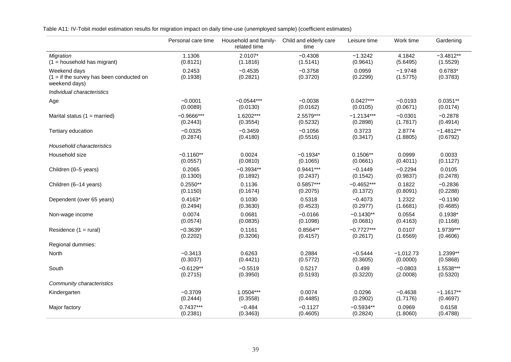Table A11: IV-Tobit model estimation results for migration impact on daily time-use (unemployed sample) (coefficient estimates)

|                                                                             | Personal care time | Household and family-<br>related time | Child and elderly care<br>time | Leisure time       | Work time             | Gardening             |
|-----------------------------------------------------------------------------|--------------------|---------------------------------------|--------------------------------|--------------------|-----------------------|-----------------------|
| <b>Migration</b>                                                            | 1.1306             | 2.0107*                               | $-0.4308$                      | $-1.3242$          | 4.1842                | $-3.4812**$           |
| $(1 =$ household has migrant)                                               | (0.8121)           | (1.1816)                              | (1.5141)                       | (0.9641)           | (5.6495)              | (1.5529)              |
| Weekend days<br>$(1 = if the survey has been conducted on$<br>weekend days) | 0.2453<br>(0.1938) | $-0.4535$<br>(0.2821)                 | $-0.3758$<br>(0.3720)          | 0.0959<br>(0.2299) | $-1.9748$<br>(1.5775) | $0.6783*$<br>(0.3783) |
| Individual characteristics                                                  |                    |                                       |                                |                    |                       |                       |
| Age                                                                         | $-0.0001$          | $-0.0544***$                          | $-0.0038$                      | $0.0427***$        | $-0.0193$             | $0.0351**$            |
|                                                                             | (0.0089)           | (0.0130)                              | (0.0162)                       | (0.0105)           | (0.0671)              | (0.0174)              |
| Marital status $(1 =$ married)                                              | $-0.9666***$       | 1.6202***                             | 2.5579***                      | $-1.2134***$       | $-0.0301$             | $-0.2878$             |
|                                                                             | (0.2443)           | (0.3554)                              | (0.5232)                       | (0.2898)           | (1.7817)              | (0.4914)              |
| Tertiary education                                                          | $-0.0325$          | $-0.3459$                             | $-0.1056$                      | 0.3723             | 2.8774                | $-1.4812**$           |
|                                                                             | (0.2874)           | (0.4180)                              | (0.5516)                       | (0.3417)           | (1.8805)              | (0.6792)              |
| Household characteristics                                                   |                    |                                       |                                |                    |                       |                       |
| Household size                                                              | $-0.1160**$        | 0.0024                                | $-0.1934*$                     | $0.1506**$         | 0.0999                | 0.0033                |
|                                                                             | (0.0557)           | (0.0810)                              | (0.1065)                       | (0.0661)           | (0.4011)              | (0.1127)              |
| Children (0-5 years)                                                        | 0.2065             | $-0.3934**$                           | $0.9441***$                    | $-0.1449$          | $-0.2294$             | 0.0105                |
|                                                                             | (0.1300)           | (0.1892)                              | (0.2437)                       | (0.1542)           | (0.9837)              | (0.2478)              |
| Children (6-14 years)                                                       | $0.2550**$         | 0.1136                                | 0.5857***                      | $-0.4652***$       | 0.1822                | $-0.2836$             |
|                                                                             | (0.1150)           | (0.1674)                              | (0.2075)                       | (0.1372)           | (0.8091)              | (0.2288)              |
| Dependent (over 65 years)                                                   | $0.4163*$          | 0.1030                                | 0.5318                         | $-0.4073$          | 1.2322                | $-0.1190$             |
|                                                                             | (0.2494)           | (0.3630)                              | (0.4523)                       | (0.2977)           | (1.6681)              | (0.4685)              |
| Non-wage income                                                             | 0.0074             | 0.0681                                | $-0.0166$                      | $-0.1430**$        | 0.0554                | $0.1938*$             |
|                                                                             | (0.0574)           | (0.0835)                              | (0.1098)                       | (0.0681)           | (0.4163)              | (0.1168)              |
| Residence (1 = rural)                                                       | $-0.3639*$         | 0.1161                                | 0.8564**                       | $-0.7727***$       | 0.0107                | 1.9739***             |
|                                                                             | (0.2202)           | (0.3206)                              | (0.4157)                       | (0.2617)           | (1.6569)              | (0.4606)              |
| Regional dummies:                                                           |                    |                                       |                                |                    |                       |                       |
| North                                                                       | $-0.3413$          | 0.6263                                | 0.2884                         | $-0.5444$          | $-1,012.73$           | 1.2399**              |
|                                                                             | (0.3037)           | (0.4421)                              | (0.5772)                       | (0.3605)           | (0.0000)              | (0.5868)              |
| South                                                                       | $-0.6129**$        | $-0.5519$                             | 0.5217                         | 0.499              | $-0.0803$             | 1.5538***             |
|                                                                             | (0.2715)           | (0.3950)                              | (0.5193)                       | (0.3220)           | (2.0008)              | (0.5320)              |
| Community characteristics                                                   |                    |                                       |                                |                    |                       |                       |
| Kindergarten                                                                | $-0.3709$          | 1.0504***                             | 0.0074                         | 0.0296             | $-0.4638$             | $-1.1617**$           |
|                                                                             | (0.2444)           | (0.3558)                              | (0.4485)                       | (0.2902)           | (1.7176)              | (0.4697)              |
| Major factory                                                               | $0.7437***$        | $-0.484$                              | $-0.1127$                      | $-0.5934**$        | 0.0969                | 0.6158                |
|                                                                             | (0.2381)           | (0.3463)                              | (0.4605)                       | (0.2824)           | (1.8060)              | (0.4788)              |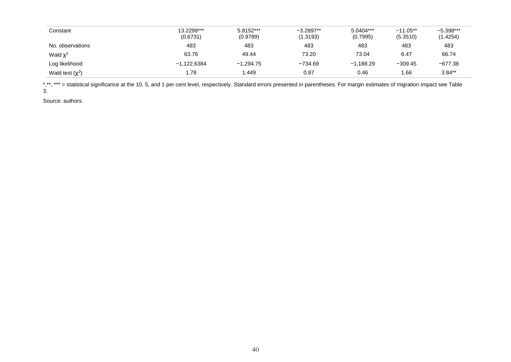| Constant          | 13.2299***<br>(0.6731) | 5.8152***<br>(0.9789) | $-3.2897**$<br>(1.3193) | 5.0404***<br>(0.7995) | $-11.05***$<br>(5.3510) | $-5.398***$<br>(1.4254) |
|-------------------|------------------------|-----------------------|-------------------------|-----------------------|-------------------------|-------------------------|
| No. observations  | 483                    | 483                   | 483                     | 483                   | 483                     | 483                     |
| Wald $\chi^2$     | 63.76                  | 49.44                 | 73.20                   | 73.04                 | 6.47                    | 66.74                   |
| Log likelihood    | $-1,122.6384$          | $-1.294.75$           | $-734.69$               | $-1.188.29$           | $-309.45$               | $-677.38$               |
| Wald test $(x^2)$ | 1.78                   | 1.449                 | 0.87                    | 0.46                  | 1.66                    | $3.84**$                |

\*,\*\*, \*\*\* = statistical significance at the 10, 5, and 1 per cent level, respectively. Standard errors presented in parentheses. For margin estimates of migration impact see Table 3.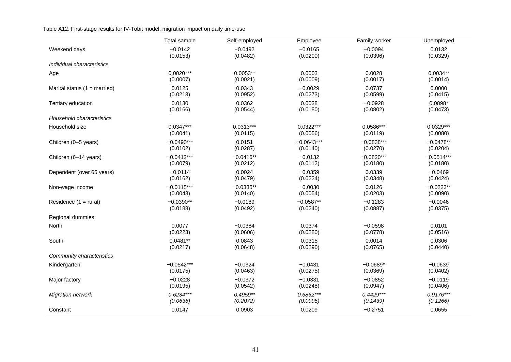Table A12: First-stage results for IV-Tobit model, migration impact on daily time-use

|                                | Total sample | Self-employed | Employee     | Family worker | Unemployed   |
|--------------------------------|--------------|---------------|--------------|---------------|--------------|
| Weekend days                   | $-0.0142$    | $-0.0492$     | $-0.0165$    | $-0.0094$     | 0.0132       |
|                                | (0.0153)     | (0.0482)      | (0.0200)     | (0.0396)      | (0.0329)     |
| Individual characteristics     |              |               |              |               |              |
| Age                            | $0.0020***$  | $0.0053**$    | 0.0003       | 0.0028        | $0.0034**$   |
|                                | (0.0007)     | (0.0021)      | (0.0009)     | (0.0017)      | (0.0014)     |
| Marital status $(1 = married)$ | 0.0125       | 0.0343        | $-0.0029$    | 0.0737        | 0.0000       |
|                                | (0.0213)     | (0.0952)      | (0.0273)     | (0.0599)      | (0.0415)     |
| Tertiary education             | 0.0130       | 0.0362        | 0.0038       | $-0.0928$     | $0.0898*$    |
|                                | (0.0166)     | (0.0544)      | (0.0180)     | (0.0802)      | (0.0473)     |
| Household characteristics      |              |               |              |               |              |
| Household size                 | $0.0347***$  | $0.0313***$   | $0.0322***$  | $0.0586***$   | $0.0329***$  |
|                                | (0.0041)     | (0.0115)      | (0.0056)     | (0.0119)      | (0.0080)     |
| Children (0-5 years)           | $-0.0490***$ | 0.0151        | $-0.0643***$ | $-0.0838***$  | $-0.0478**$  |
|                                | (0.0102)     | (0.0287)      | (0.0140)     | (0.0270)      | (0.0204)     |
| Children (6-14 years)          | $-0.0412***$ | $-0.0416**$   | $-0.0132$    | $-0.0820***$  | $-0.0514***$ |
|                                | (0.0079)     | (0.0212)      | (0.0112)     | (0.0180)      | (0.0180)     |
| Dependent (over 65 years)      | $-0.0114$    | 0.0024        | $-0.0359$    | 0.0339        | $-0.0469$    |
|                                | (0.0162)     | (0.0479)      | (0.0224)     | (0.0348)      | (0.0424)     |
| Non-wage income                | $-0.0115***$ | $-0.0335**$   | $-0.0030$    | 0.0126        | $-0.0223**$  |
|                                | (0.0043)     | (0.0140)      | (0.0054)     | (0.0203)      | (0.0090)     |
| Residence $(1 = \text{rural})$ | $-0.0390**$  | $-0.0189$     | $-0.0587**$  | $-0.1283$     | $-0.0046$    |
|                                | (0.0188)     | (0.0492)      | (0.0240)     | (0.0887)      | (0.0375)     |
| Regional dummies:              |              |               |              |               |              |
| North                          | 0.0077       | $-0.0384$     | 0.0374       | $-0.0598$     | 0.0101       |
|                                | (0.0223)     | (0.0606)      | (0.0280)     | (0.0778)      | (0.0516)     |
| South                          | $0.0481**$   | 0.0843        | 0.0315       | 0.0014        | 0.0306       |
|                                | (0.0217)     | (0.0648)      | (0.0290)     | (0.0765)      | (0.0440)     |
| Community characteristics      |              |               |              |               |              |
| Kindergarten                   | $-0.0542***$ | $-0.0324$     | $-0.0431$    | $-0.0689*$    | $-0.0639$    |
|                                | (0.0175)     | (0.0463)      | (0.0275)     | (0.0369)      | (0.0402)     |
| Major factory                  | $-0.0228$    | $-0.0372$     | $-0.0331$    | $-0.0852$     | $-0.0119$    |
|                                | (0.0195)     | (0.0542)      | (0.0248)     | (0.0947)      | (0.0406)     |
| Migration network              | $0.6234***$  | $0.4959**$    | $0.6862***$  | $0.4429***$   | $0.9176***$  |
|                                | (0.0636)     | (0.2072)      | (0.0995)     | (0.1439)      | (0.1266)     |
| Constant                       | 0.0147       | 0.0903        | 0.0209       | $-0.2751$     | 0.0655       |